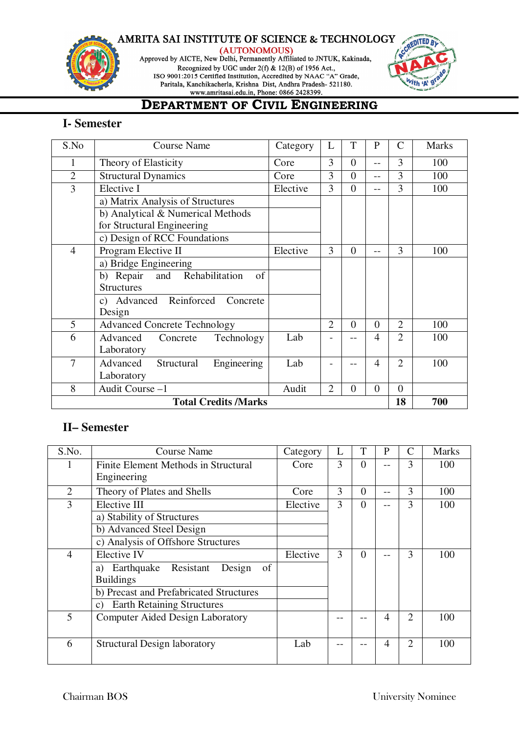

(AUTONOMOUS)

Approved by AICTE, New Delhi, Permanently Affiliated to JNTUK, Kakinada, Recognized by UGC under  $2(f)$  & 12(B) of 1956 Act., ISO 9001:2015 Certified Institution, Accredited by NAAC "A" Grade, Paritala, Kanchikacherla, Krishna Dist, Andhra Pradesh- 521180.



# **DEPARTMENT OF CIVIL ENGINEERING**

### **I- Semester**

| S.No           | <b>Course Name</b>                          | Category | L              | T              | $\mathbf{P}$   | $\mathcal{C}$  | <b>Marks</b> |
|----------------|---------------------------------------------|----------|----------------|----------------|----------------|----------------|--------------|
| 1              | Theory of Elasticity                        | Core     | 3              | $\theta$       | $-$            | 3              | 100          |
| $\overline{2}$ | <b>Structural Dynamics</b>                  | Core     | 3              | $\overline{0}$ | $-1$           | 3              | 100          |
| 3              | Elective I                                  | Elective | 3              | $\overline{0}$ | $-1$           | 3              | 100          |
|                | a) Matrix Analysis of Structures            |          |                |                |                |                |              |
|                | b) Analytical & Numerical Methods           |          |                |                |                |                |              |
|                | for Structural Engineering                  |          |                |                |                |                |              |
|                | c) Design of RCC Foundations                |          |                |                |                |                |              |
| $\overline{4}$ | Program Elective II                         | Elective | 3              | $\theta$       |                | 3              | 100          |
|                | a) Bridge Engineering                       |          |                |                |                |                |              |
|                | Repair<br>and<br>Rehabilitation<br>of<br>b) |          |                |                |                |                |              |
|                | <b>Structures</b>                           |          |                |                |                |                |              |
|                | c) Advanced Reinforced<br>Concrete          |          |                |                |                |                |              |
|                | Design                                      |          |                |                |                |                |              |
| 5              | <b>Advanced Concrete Technology</b>         |          | $\overline{2}$ | $\theta$       | $\overline{0}$ | $\overline{2}$ | 100          |
| 6              | Advanced<br>Technology<br>Concrete          | Lab      |                |                | $\overline{4}$ | $\overline{2}$ | 100          |
|                | Laboratory                                  |          |                |                |                |                |              |
| $\overline{7}$ | Engineering<br>Advanced<br>Structural       | Lab      |                |                | $\overline{4}$ | $\overline{2}$ | 100          |
|                | Laboratory                                  |          |                |                |                |                |              |
| 8              | Audit Course-1                              | Audit    | $\overline{2}$ | $\overline{0}$ | $\overline{0}$ | $\overline{0}$ |              |
|                | <b>Total Credits /Marks</b>                 |          |                |                |                | 18             | 700          |

### **II– Semester**

| S.No.          | <b>Course Name</b>                                   | Category | L | T        | $\mathbf{P}$ | $\mathsf{C}$   | <b>Marks</b> |
|----------------|------------------------------------------------------|----------|---|----------|--------------|----------------|--------------|
|                | Finite Element Methods in Structural                 | Core     | 3 | $\Omega$ | $-1$         | 3              | 100          |
|                | Engineering                                          |          |   |          |              |                |              |
| 2              | Theory of Plates and Shells                          | Core     | 3 | $\Omega$ | $-1$         | 3              | 100          |
| 3              | Elective III                                         | Elective | 3 | $\Omega$ | --           | 3              | 100          |
|                | a) Stability of Structures                           |          |   |          |              |                |              |
|                | b) Advanced Steel Design                             |          |   |          |              |                |              |
|                | c) Analysis of Offshore Structures                   |          |   |          |              |                |              |
| $\overline{4}$ | Elective IV                                          | Elective | 3 | $\Omega$ |              | 3              | 100          |
|                | Earthquake Resistant<br>of<br>Design<br>a)           |          |   |          |              |                |              |
|                | <b>Buildings</b>                                     |          |   |          |              |                |              |
|                | b) Precast and Prefabricated Structures              |          |   |          |              |                |              |
|                | <b>Earth Retaining Structures</b><br>$\mathcal{C}$ ) |          |   |          |              |                |              |
| 5              | <b>Computer Aided Design Laboratory</b>              |          |   |          | 4            | $\overline{2}$ | 100          |
|                |                                                      |          |   |          |              |                |              |
| 6              | <b>Structural Design laboratory</b>                  | Lab      |   |          | 4            | $\overline{2}$ | 100          |
|                |                                                      |          |   |          |              |                |              |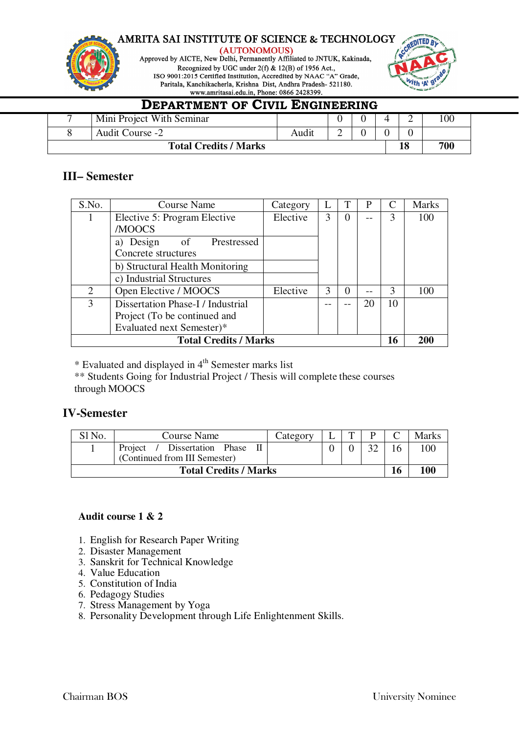

(AUTONOMOUS)

Approved by AICTE, New Delhi, Permanently Affiliated to JNTUK, Kakinada, Recognized by UGC under  $2(f)$  & 12(B) of 1956 Act., ISO 9001:2015 Certified Institution, Accredited by NAAC "A" Grade, Paritala, Kanchikacherla, Krishna Dist, Andhra Pradesh- 521180.



### **DEPARTMENT OF CIVIL ENGINEERING** 7 | Mini Project With Seminar | 0 | 0 | 4 | 2 | 100 8 Audit Course -2 Audit 2 0 0 0 **Total Credits / Marks 18 700**

### **III– Semester**

| S.No. | <b>Course Name</b>                | Category |   |          | P  |               | <b>Marks</b> |
|-------|-----------------------------------|----------|---|----------|----|---------------|--------------|
|       | Elective 5: Program Elective      | Elective | 3 | $\theta$ |    | 3             | 100          |
|       | /MOOCS                            |          |   |          |    |               |              |
|       | a) Design<br>Prestressed<br>of    |          |   |          |    |               |              |
|       | Concrete structures               |          |   |          |    |               |              |
|       | b) Structural Health Monitoring   |          |   |          |    |               |              |
|       | c) Industrial Structures          |          |   |          |    |               |              |
| 2     | Open Elective / MOOCS             | Elective | 3 |          |    | $\mathcal{F}$ | 100          |
| 3     | Dissertation Phase-I / Industrial |          |   |          | 20 | 10            |              |
|       | Project (To be continued and      |          |   |          |    |               |              |
|       | Evaluated next Semester)*         |          |   |          |    |               |              |
|       | <b>Total Credits / Marks</b>      |          |   |          |    | 16            | 200          |

 $*$  Evaluated and displayed in  $4<sup>th</sup>$  Semester marks list

\*\* Students Going for Industrial Project / Thesis will complete these courses through MOOCS

### **IV-Semester**

| Sl No. | Course Name                                                   | Category | m |    | Marks |
|--------|---------------------------------------------------------------|----------|---|----|-------|
|        | Project / Dissertation Phase<br>(Continued from III Semester) |          |   |    | 100   |
|        | <b>Total Credits / Marks</b>                                  |          |   | 16 | 100   |

### **Audit course 1 & 2**

- 1. English for Research Paper Writing
- 2. Disaster Management
- 3. Sanskrit for Technical Knowledge
- 4. Value Education
- 5. Constitution of India
- 6. Pedagogy Studies
- 7. Stress Management by Yoga
- 8. Personality Development through Life Enlightenment Skills.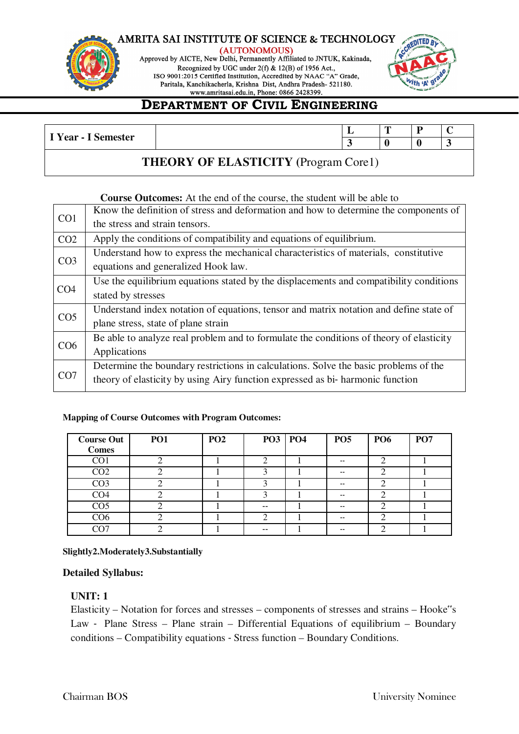

(AUTONOMOUS) Approved by AICTE, New Delhi, Permanently Affiliated to JNTUK, Kakinada, Recognized by UGC under 2(f) & 12(B) of 1956 Act., ISO 9001:2015 Certified Institution, Accredited by NAAC "A" Grade, Paritala, Kanchikacherla, Krishna Dist, Andhra Pradesh- 521180.



# **DEPARTMENT OF CIVIL ENGINEERING**

| <sup>T</sup> Year - I Semester | - | - | - |                          |
|--------------------------------|---|---|---|--------------------------|
|                                |   |   |   | $\overline{\phantom{a}}$ |
|                                |   |   |   |                          |

### **THEORY OF ELASTICITY (**Program Core1)

### **Course Outcomes:** At the end of the course, the student will be able to

|                 | Know the definition of stress and deformation and how to determine the components of    |
|-----------------|-----------------------------------------------------------------------------------------|
| CO <sub>1</sub> | the stress and strain tensors.                                                          |
| CO <sub>2</sub> | Apply the conditions of compatibility and equations of equilibrium.                     |
|                 | Understand how to express the mechanical characteristics of materials, constitutive     |
| CO <sub>3</sub> | equations and generalized Hook law.                                                     |
|                 | Use the equilibrium equations stated by the displacements and compatibility conditions  |
| CO <sub>4</sub> | stated by stresses                                                                      |
| CO <sub>5</sub> | Understand index notation of equations, tensor and matrix notation and define state of  |
|                 | plane stress, state of plane strain                                                     |
|                 | Be able to analyze real problem and to formulate the conditions of theory of elasticity |
| CO <sub>6</sub> | Applications                                                                            |
|                 | Determine the boundary restrictions in calculations. Solve the basic problems of the    |
| CO <sub>7</sub> | theory of elasticity by using Airy function expressed as bi-harmonic function           |
|                 |                                                                                         |

### **Mapping of Course Outcomes with Program Outcomes:**

| <b>Course Out</b><br><b>Comes</b> | PO <sub>1</sub> | PO <sub>2</sub> | <b>PO3 PO4</b> | PO <sub>5</sub> | <b>PO6</b> | PO <sub>7</sub> |
|-----------------------------------|-----------------|-----------------|----------------|-----------------|------------|-----------------|
| CO <sub>1</sub>                   |                 |                 | ∠              | $-$             |            |                 |
| CO <sub>2</sub>                   |                 |                 |                | $-$             |            |                 |
| CO <sub>3</sub>                   |                 |                 |                | $- -$           |            |                 |
| CO <sub>4</sub>                   |                 |                 | ◠              | $- -$           |            |                 |
| CO <sub>5</sub>                   |                 |                 | $- -$          | $\sim$ $\sim$   | ◠          |                 |
| CO <sub>6</sub>                   |                 |                 | ി              | $\sim$ $\sim$   |            |                 |
| CO7                               |                 |                 | $- -$          | $-$             | ◠          |                 |

### **Slightly2.Moderately3.Substantially**

### **Detailed Syllabus:**

### **UNIT: 1**

Elasticity – Notation for forces and stresses – components of stresses and strains – Hooke"s Law ‐ Plane Stress – Plane strain – Differential Equations of equilibrium – Boundary conditions – Compatibility equations ‐ Stress function – Boundary Conditions.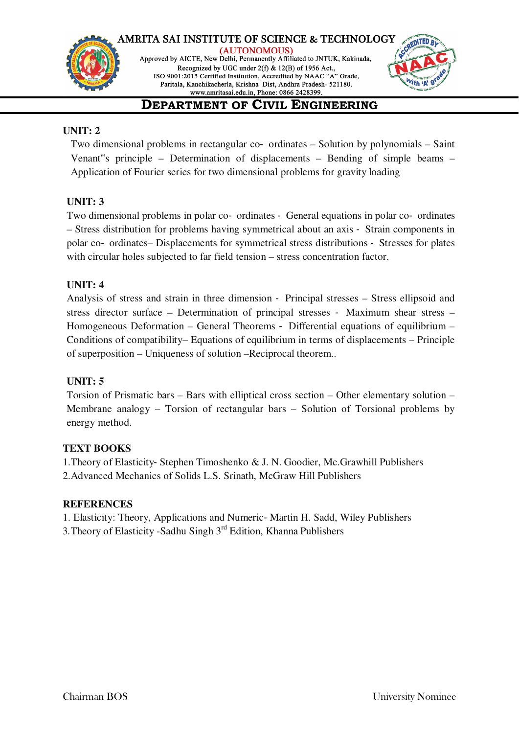



# **DEPARTMENT OF CIVIL ENGINEERING**

### **UNIT: 2**

Two dimensional problems in rectangular co‐ ordinates – Solution by polynomials – Saint Venant"s principle – Determination of displacements – Bending of simple beams – Application of Fourier series for two dimensional problems for gravity loading

### **UNIT: 3**

Two dimensional problems in polar co‐ ordinates ‐ General equations in polar co‐ ordinates – Stress distribution for problems having symmetrical about an axis ‐ Strain components in polar co‐ ordinates– Displacements for symmetrical stress distributions ‐ Stresses for plates with circular holes subjected to far field tension – stress concentration factor.

### **UNIT: 4**

Analysis of stress and strain in three dimension ‐ Principal stresses – Stress ellipsoid and stress director surface – Determination of principal stresses ‐ Maximum shear stress – Homogeneous Deformation – General Theorems ‐ Differential equations of equilibrium – Conditions of compatibility– Equations of equilibrium in terms of displacements – Principle of superposition – Uniqueness of solution –Reciprocal theorem..

### **UNIT: 5**

Torsion of Prismatic bars – Bars with elliptical cross section – Other elementary solution – Membrane analogy – Torsion of rectangular bars – Solution of Torsional problems by energy method.

### **TEXT BOOKS**

1.Theory of Elasticity‐ Stephen Timoshenko & J. N. Goodier, Mc.Grawhill Publishers 2.Advanced Mechanics of Solids L.S. Srinath, McGraw Hill Publishers

### **REFERENCES**

1. Elasticity: Theory, Applications and Numeric‐ Martin H. Sadd, Wiley Publishers

3.Theory of Elasticity -Sadhu Singh 3rd Edition, Khanna Publishers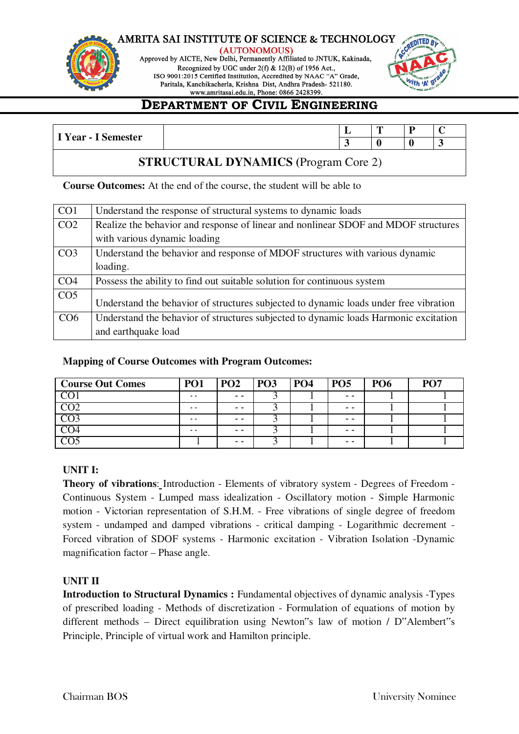

(AUTONOMOUS) Approved by AICTE, New Delhi, Permanently Affiliated to JNTUK, Kakinada, Recognized by UGC under 2(f) & 12(B) of 1956 Act., ISO 9001:2015 Certified Institution, Accredited by NAAC "A" Grade, Paritala, Kanchikacherla, Krishna Dist, Andhra Pradesh- 521180.



# **DEPARTMENT OF CIVIL ENGINEERING**

| $Year - 1.$<br>$\sim$ | . | œ | D<br>- |  |
|-----------------------|---|---|--------|--|
| Semester              |   |   |        |  |
|                       |   |   |        |  |

### **STRUCTURAL DYNAMICS (**Program Core 2)

**Course Outcomes:** At the end of the course, the student will be able to

| CO <sub>1</sub> | Understand the response of structural systems to dynamic loads                        |
|-----------------|---------------------------------------------------------------------------------------|
| CO <sub>2</sub> | Realize the behavior and response of linear and nonlinear SDOF and MDOF structures    |
|                 | with various dynamic loading                                                          |
| CO <sub>3</sub> | Understand the behavior and response of MDOF structures with various dynamic          |
|                 | loading.                                                                              |
| CO <sub>4</sub> | Possess the ability to find out suitable solution for continuous system               |
| CO <sub>5</sub> | Understand the behavior of structures subjected to dynamic loads under free vibration |
| CO6             | Understand the behavior of structures subjected to dynamic loads Harmonic excitation  |
|                 | and earthquake load                                                                   |

### **Mapping of Course Outcomes with Program Outcomes:**

| <b>Course Out Comes</b> | <b>PO1</b> | PO <sub>2</sub> | <b>PO3</b> | <b>PO4</b> | <b>PO5</b> | <b>PO6</b> | $\mathbf{p}$ $\mathbf{\Omega}$ |
|-------------------------|------------|-----------------|------------|------------|------------|------------|--------------------------------|
|                         | $ -$       | - -             |            |            | - -        |            |                                |
|                         | $ -$       | $ -$            |            |            | - -        |            |                                |
|                         | . .        | $ -$            |            |            | - -        |            |                                |
|                         | $ -$       | - -             |            |            | - -        |            |                                |
|                         |            | $ -$            |            |            | - -        |            |                                |

### **UNIT I:**

**Theory of vibrations**: Introduction - Elements of vibratory system - Degrees of Freedom - Continuous System - Lumped mass idealization - Oscillatory motion - Simple Harmonic motion - Victorian representation of S.H.M. - Free vibrations of single degree of freedom system - undamped and damped vibrations - critical damping - Logarithmic decrement - Forced vibration of SDOF systems - Harmonic excitation - Vibration Isolation -Dynamic magnification factor – Phase angle.

### **UNIT II**

**Introduction to Structural Dynamics :** Fundamental objectives of dynamic analysis -Types of prescribed loading - Methods of discretization - Formulation of equations of motion by different methods – Direct equilibration using Newton"s law of motion / D"Alembert"s Principle, Principle of virtual work and Hamilton principle.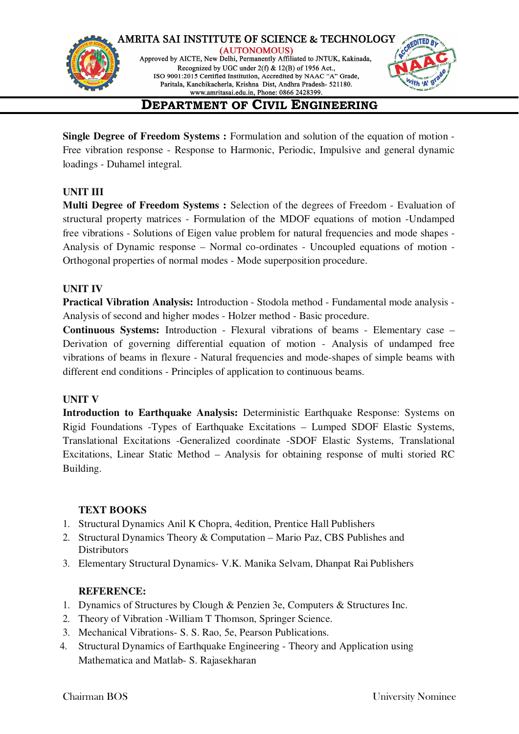

**Single Degree of Freedom Systems :** Formulation and solution of the equation of motion - Free vibration response - Response to Harmonic, Periodic, Impulsive and general dynamic loadings - Duhamel integral.

### **UNIT III**

**Multi Degree of Freedom Systems :** Selection of the degrees of Freedom - Evaluation of structural property matrices - Formulation of the MDOF equations of motion -Undamped free vibrations - Solutions of Eigen value problem for natural frequencies and mode shapes - Analysis of Dynamic response – Normal co-ordinates - Uncoupled equations of motion - Orthogonal properties of normal modes - Mode superposition procedure.

### **UNIT IV**

**Practical Vibration Analysis:** Introduction - Stodola method - Fundamental mode analysis - Analysis of second and higher modes - Holzer method - Basic procedure.

**Continuous Systems:** Introduction - Flexural vibrations of beams - Elementary case – Derivation of governing differential equation of motion - Analysis of undamped free vibrations of beams in flexure - Natural frequencies and mode-shapes of simple beams with different end conditions - Principles of application to continuous beams.

### **UNIT V**

**Introduction to Earthquake Analysis:** Deterministic Earthquake Response: Systems on Rigid Foundations -Types of Earthquake Excitations – Lumped SDOF Elastic Systems, Translational Excitations -Generalized coordinate -SDOF Elastic Systems, Translational Excitations, Linear Static Method – Analysis for obtaining response of multi storied RC Building.

### **TEXT BOOKS**

- 1. Structural Dynamics Anil K Chopra, 4edition, Prentice Hall Publishers
- 2. Structural Dynamics Theory & Computation Mario Paz, CBS Publishes and **Distributors**
- 3. Elementary Structural Dynamics- V.K. Manika Selvam, Dhanpat Rai Publishers

### **REFERENCE:**

- 1. Dynamics of Structures by Clough & Penzien 3e, Computers & Structures Inc.
- 2. Theory of Vibration -William T Thomson, Springer Science.
- 3. Mechanical Vibrations- S. S. Rao, 5e, Pearson Publications.
- 4. Structural Dynamics of Earthquake Engineering Theory and Application using Mathematica and Matlab- S. Rajasekharan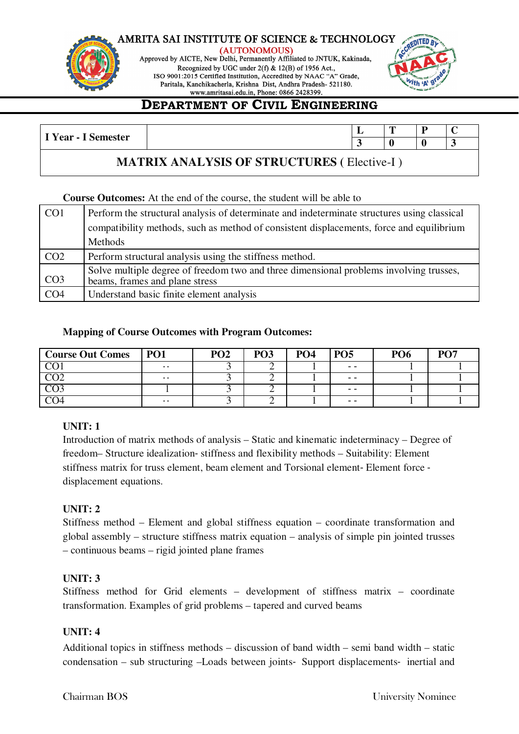

(AUTONOMOUS) Approved by AICTE, New Delhi, Permanently Affiliated to JNTUK, Kakinada, Recognized by UGC under 2(f) & 12(B) of 1956 Act., ISO 9001:2015 Certified Institution, Accredited by NAAC "A" Grade, Paritala, Kanchikacherla, Krishna Dist, Andhra Pradesh- 521180.



# **DEPARTMENT OF CIVIL ENGINEERING**

|                     | ┻ | $\overline{ }$ |        |
|---------------------|---|----------------|--------|
| I Year - I Semester |   |                | $\sim$ |

### **MATRIX ANALYSIS OF STRUCTURES (** Elective-I )

### **Course Outcomes:** At the end of the course, the student will be able to

| CO <sub>1</sub> | Perform the structural analysis of determinate and indeterminate structures using classical                              |
|-----------------|--------------------------------------------------------------------------------------------------------------------------|
|                 | compatibility methods, such as method of consistent displacements, force and equilibrium                                 |
|                 | Methods                                                                                                                  |
| CO <sub>2</sub> | Perform structural analysis using the stiffness method.                                                                  |
|                 |                                                                                                                          |
| CO <sub>3</sub> | Solve multiple degree of freedom two and three dimensional problems involving trusses,<br>beams, frames and plane stress |

### **Mapping of Course Outcomes with Program Outcomes:**

| <b>Course Out Comes</b> | P <sub>01</sub> | PO <sub>2</sub> | PO <sub>3</sub> | PO <sub>4</sub> | <b>PO5</b> | PO <sub>6</sub> | $\mathbf{D}\mathbf{\Omega}$ |
|-------------------------|-----------------|-----------------|-----------------|-----------------|------------|-----------------|-----------------------------|
| $\sim$                  | $\sim$ $\sim$   |                 | ∽               |                 | - -        |                 |                             |
| $\sim$ $\sim$           | $ -$            |                 | ∼               |                 | - -        |                 |                             |
|                         |                 |                 | ∼               |                 | - -        |                 |                             |
|                         | $ -$            |                 | ∽               |                 | - -        |                 |                             |

### **UNIT: 1**

Introduction of matrix methods of analysis – Static and kinematic indeterminacy – Degree of freedom– Structure idealization‐ stiffness and flexibility methods – Suitability: Element stiffness matrix for truss element, beam element and Torsional element‐ Element force ‐ displacement equations.

### **UNIT: 2**

Stiffness method – Element and global stiffness equation – coordinate transformation and global assembly – structure stiffness matrix equation – analysis of simple pin jointed trusses – continuous beams – rigid jointed plane frames

### **UNIT: 3**

Stiffness method for Grid elements – development of stiffness matrix – coordinate transformation. Examples of grid problems – tapered and curved beams

### **UNIT: 4**

Additional topics in stiffness methods – discussion of band width – semi band width – static condensation – sub structuring –Loads between joints‐ Support displacements‐ inertial and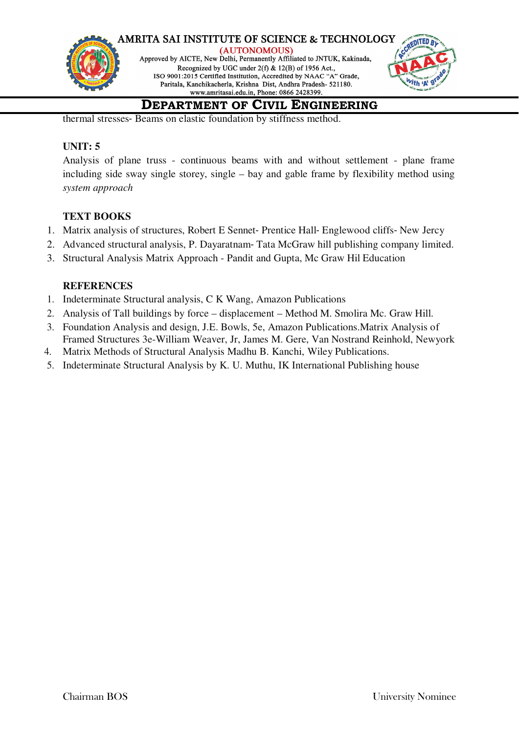

thermal stresses‐ Beams on elastic foundation by stiffness method.

### **UNIT: 5**

Analysis of plane truss - continuous beams with and without settlement - plane frame including side sway single storey, single – bay and gable frame by flexibility method using *system approach*

### **TEXT BOOKS**

- 1. Matrix analysis of structures, Robert E Sennet‐ Prentice Hall‐ Englewood cliffs‐ New Jercy
- 2. Advanced structural analysis, P. Dayaratnam‐ Tata McGraw hill publishing company limited.
- 3. Structural Analysis Matrix Approach Pandit and Gupta, Mc Graw Hil Education

### **REFERENCES**

- 1. Indeterminate Structural analysis, C K Wang, Amazon Publications
- 2. Analysis of Tall buildings by force displacement Method M. Smolira Mc. Graw Hill.
- 3. Foundation Analysis and design, J.E. Bowls, 5e, Amazon Publications.Matrix Analysis of Framed Structures 3e-William Weaver, Jr, James M. Gere, Van Nostrand Reinhold, Newyork
- 4. Matrix Methods of Structural Analysis Madhu B. Kanchi, Wiley Publications.
- 5. Indeterminate Structural Analysis by K. U. Muthu, IK International Publishing house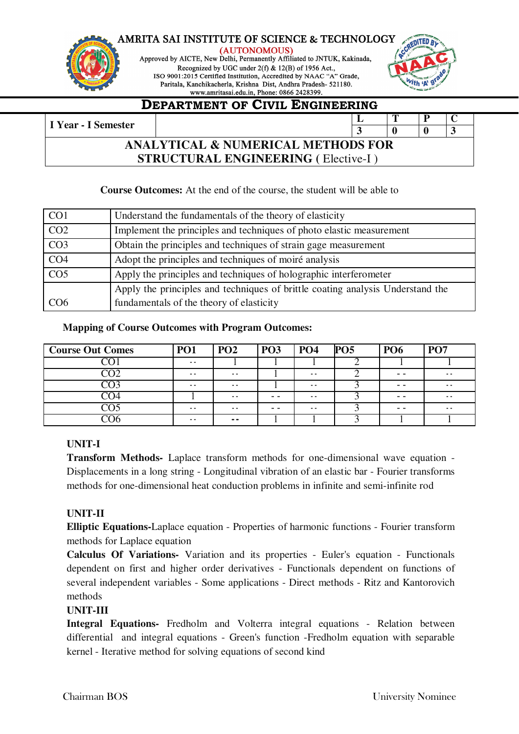

(AUTONOMOUS) Approved by AICTE, New Delhi, Permanently Affiliated to JNTUK, Kakinada, Recognized by UGC under 2(f) & 12(B) of 1956 Act., ISO 9001:2015 Certified Institution, Accredited by NAAC "A" Grade, Paritala, Kanchikacherla, Krishna Dist, Andhra Pradesh- 521180.



### **DEPARTMENT OF CIVIL ENGINEERING**

### **I** Year - I Semester **L T P C 3 0 0 3 ANALYTICAL & NUMERICAL METHODS FOR STRUCTURAL ENGINEERING (** Elective-I )

### **Course Outcomes:** At the end of the course, the student will be able to

| CO <sub>1</sub> | Understand the fundamentals of the theory of elasticity                        |
|-----------------|--------------------------------------------------------------------------------|
| CO <sub>2</sub> | Implement the principles and techniques of photo elastic measurement           |
| CO <sub>3</sub> | Obtain the principles and techniques of strain gage measurement                |
| CO <sub>4</sub> | Adopt the principles and techniques of moiré analysis                          |
| CO <sub>5</sub> | Apply the principles and techniques of holographic interferometer              |
|                 | Apply the principles and techniques of brittle coating analysis Understand the |
| CO <sub>6</sub> | fundamentals of the theory of elasticity                                       |

### **Mapping of Course Outcomes with Program Outcomes:**

| <b>Course Out Comes</b> | <b>PO1</b>    | PO <sub>2</sub> | <b>PO3</b> | <b>PO4</b>    | <b>PO5</b> | <b>PO6</b> | <b>PO7</b>    |
|-------------------------|---------------|-----------------|------------|---------------|------------|------------|---------------|
|                         | $\sim$ $\sim$ |                 |            |               |            |            |               |
|                         | $\sim$ $\sim$ | $ -$            |            | $ -$          |            | $ -$       | $\sim$ $\sim$ |
|                         | $\sim$ $\sim$ | $ -$            |            | $\sim$ $\sim$ |            | $ -$       | $\sim$ $\sim$ |
| U4                      |               | $\sim$ $\sim$   | - -        | $\sim$ $\sim$ |            | - -        | $\sim$ $\sim$ |
|                         | . .           | $ -$            | - -        | $\sim$ $\sim$ | ັ          | $ -$       | $\sim$ $\sim$ |
|                         | $\sim$ $\sim$ | $- -$           |            |               |            |            |               |

### **UNIT-I**

**Transform Methods-** Laplace transform methods for one-dimensional wave equation - Displacements in a long string - Longitudinal vibration of an elastic bar - Fourier transforms methods for one-dimensional heat conduction problems in infinite and semi-infinite rod

### **UNIT-II**

**Elliptic Equations-**Laplace equation - Properties of harmonic functions - Fourier transform methods for Laplace equation

**Calculus Of Variations-** Variation and its properties - Euler's equation - Functionals dependent on first and higher order derivatives - Functionals dependent on functions of several independent variables - Some applications - Direct methods - Ritz and Kantorovich methods

### **UNIT-III**

**Integral Equations-** Fredholm and Volterra integral equations - Relation between differential and integral equations - Green's function -Fredholm equation with separable kernel - Iterative method for solving equations of second kind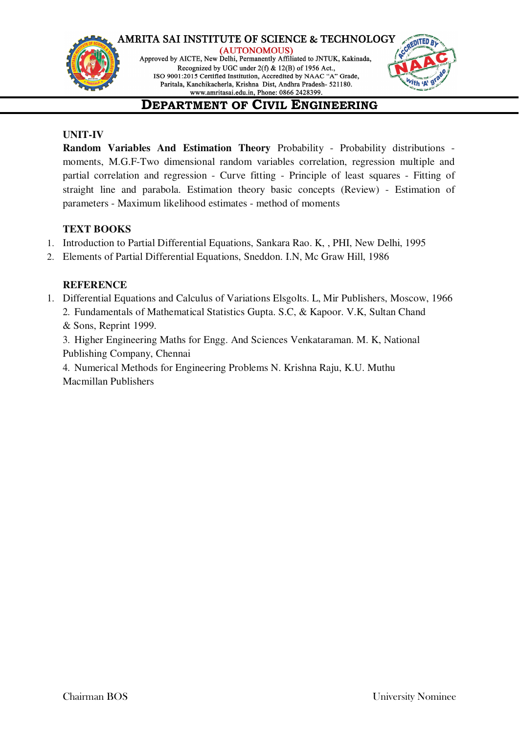



# **DEPARTMENT OF CIVIL ENGINEERING**

### **UNIT-IV**

**Random Variables And Estimation Theory** Probability - Probability distributions moments, M.G.F-Two dimensional random variables correlation, regression multiple and partial correlation and regression - Curve fitting - Principle of least squares - Fitting of straight line and parabola. Estimation theory basic concepts (Review) - Estimation of parameters - Maximum likelihood estimates - method of moments

### **TEXT BOOKS**

- 1. Introduction to Partial Differential Equations, Sankara Rao. K, , PHI, New Delhi, 1995
- 2. Elements of Partial Differential Equations, Sneddon. I.N, Mc Graw Hill, 1986

### **REFERENCE**

1. Differential Equations and Calculus of Variations Elsgolts. L, Mir Publishers, Moscow, 1966

2. Fundamentals of Mathematical Statistics Gupta. S.C, & Kapoor. V.K, Sultan Chand & Sons, Reprint 1999.

3. Higher Engineering Maths for Engg. And Sciences Venkataraman. M. K, National Publishing Company, Chennai

4. Numerical Methods for Engineering Problems N. Krishna Raju, K.U. Muthu Macmillan Publishers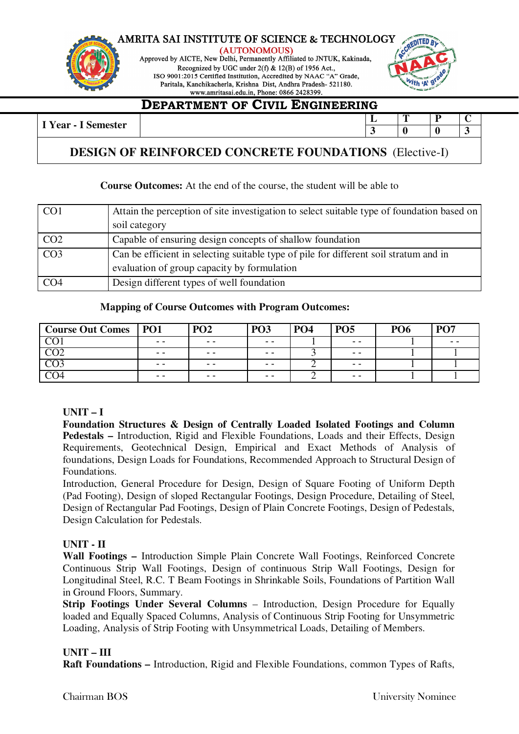

(AUTONOMOUS) Approved by AICTE, New Delhi, Permanently Affiliated to JNTUK, Kakinada, Recognized by UGC under 2(f) & 12(B) of 1956 Act., ISO 9001:2015 Certified Institution, Accredited by NAAC "A" Grade, Paritala, Kanchikacherla, Krishna Dist, Andhra Pradesh- 521180.



### **DEPARTMENT OF CIVIL ENGINEERING**

**I** Year - I Semester **L T P C**  $\begin{array}{|c|c|c|c|c|c|} \hline 3 & 0 & 3 \\ \hline \end{array}$ 

### **DESIGN OF REINFORCED CONCRETE FOUNDATIONS** (Elective-I)

### **Course Outcomes:** At the end of the course, the student will be able to

| CO <sub>1</sub> | Attain the perception of site investigation to select suitable type of foundation based on<br>soil category                          |
|-----------------|--------------------------------------------------------------------------------------------------------------------------------------|
| CO <sub>2</sub> | Capable of ensuring design concepts of shallow foundation                                                                            |
| CO <sub>3</sub> | Can be efficient in selecting suitable type of pile for different soil stratum and in<br>evaluation of group capacity by formulation |
| CO <sub>4</sub> | Design different types of well foundation                                                                                            |

### **Mapping of Course Outcomes with Program Outcomes:**

| <b>Course Out Comes</b> | <b>PO1</b>        | PO <sub>2</sub> | <b>PO3</b> | <b>PO4</b> | <b>PO5</b> | <b>PO6</b> | <b>PO7</b> |
|-------------------------|-------------------|-----------------|------------|------------|------------|------------|------------|
|                         | $\qquad \qquad -$ | $ -$            | $ -$       |            | $ -$       |            | $ -$       |
| നാ                      | $ -$              | - -             | $ -$       |            | $- -$      |            |            |
|                         | $ -$              | - -             | $ -$       |            | $ -$       |            |            |
| U4                      | $ -$              | - -             | $ -$       |            | $ -$       |            |            |

### **UNIT – I**

**Foundation Structures & Design of Centrally Loaded Isolated Footings and Column Pedestals –** Introduction, Rigid and Flexible Foundations, Loads and their Effects, Design Requirements, Geotechnical Design, Empirical and Exact Methods of Analysis of foundations, Design Loads for Foundations, Recommended Approach to Structural Design of Foundations.

Introduction, General Procedure for Design, Design of Square Footing of Uniform Depth (Pad Footing), Design of sloped Rectangular Footings, Design Procedure, Detailing of Steel, Design of Rectangular Pad Footings, Design of Plain Concrete Footings, Design of Pedestals, Design Calculation for Pedestals.

### **UNIT - II**

**Wall Footings –** Introduction Simple Plain Concrete Wall Footings, Reinforced Concrete Continuous Strip Wall Footings, Design of continuous Strip Wall Footings, Design for Longitudinal Steel, R.C. T Beam Footings in Shrinkable Soils, Foundations of Partition Wall in Ground Floors, Summary.

**Strip Footings Under Several Columns** – Introduction, Design Procedure for Equally loaded and Equally Spaced Columns, Analysis of Continuous Strip Footing for Unsymmetric Loading, Analysis of Strip Footing with Unsymmetrical Loads, Detailing of Members.

### **UNIT – III**

**Raft Foundations –** Introduction, Rigid and Flexible Foundations, common Types of Rafts,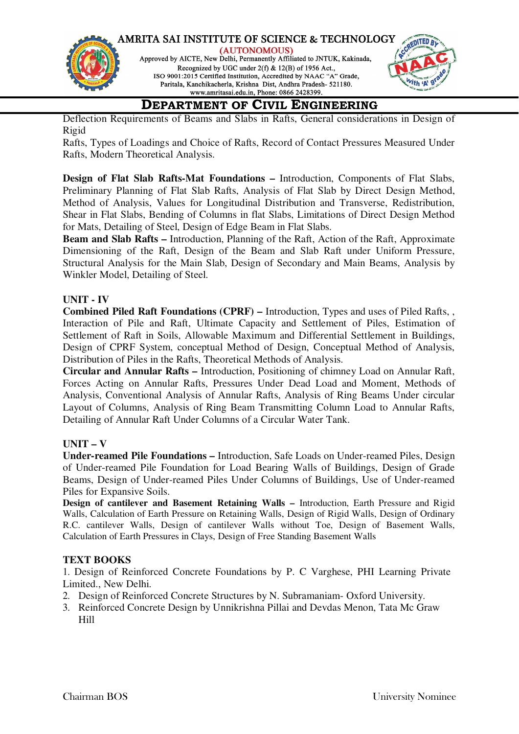

Deflection Requirements of Beams and Slabs in Rafts, General considerations in Design of Rigid

Rafts, Types of Loadings and Choice of Rafts, Record of Contact Pressures Measured Under Rafts, Modern Theoretical Analysis.

**Design of Flat Slab Rafts-Mat Foundations –** Introduction, Components of Flat Slabs, Preliminary Planning of Flat Slab Rafts, Analysis of Flat Slab by Direct Design Method, Method of Analysis, Values for Longitudinal Distribution and Transverse, Redistribution, Shear in Flat Slabs, Bending of Columns in flat Slabs, Limitations of Direct Design Method for Mats, Detailing of Steel, Design of Edge Beam in Flat Slabs.

**Beam and Slab Rafts –** Introduction, Planning of the Raft, Action of the Raft, Approximate Dimensioning of the Raft, Design of the Beam and Slab Raft under Uniform Pressure, Structural Analysis for the Main Slab, Design of Secondary and Main Beams, Analysis by Winkler Model, Detailing of Steel.

### **UNIT - IV**

**Combined Piled Raft Foundations (CPRF) –** Introduction, Types and uses of Piled Rafts, , Interaction of Pile and Raft, Ultimate Capacity and Settlement of Piles, Estimation of Settlement of Raft in Soils, Allowable Maximum and Differential Settlement in Buildings, Design of CPRF System, conceptual Method of Design, Conceptual Method of Analysis, Distribution of Piles in the Rafts, Theoretical Methods of Analysis.

**Circular and Annular Rafts –** Introduction, Positioning of chimney Load on Annular Raft, Forces Acting on Annular Rafts, Pressures Under Dead Load and Moment, Methods of Analysis, Conventional Analysis of Annular Rafts, Analysis of Ring Beams Under circular Layout of Columns, Analysis of Ring Beam Transmitting Column Load to Annular Rafts, Detailing of Annular Raft Under Columns of a Circular Water Tank.

### **UNIT – V**

**Under-reamed Pile Foundations –** Introduction, Safe Loads on Under-reamed Piles, Design of Under-reamed Pile Foundation for Load Bearing Walls of Buildings, Design of Grade Beams, Design of Under-reamed Piles Under Columns of Buildings, Use of Under-reamed Piles for Expansive Soils.

**Design of cantilever and Basement Retaining Walls –** Introduction, Earth Pressure and Rigid Walls, Calculation of Earth Pressure on Retaining Walls, Design of Rigid Walls, Design of Ordinary R.C. cantilever Walls, Design of cantilever Walls without Toe, Design of Basement Walls, Calculation of Earth Pressures in Clays, Design of Free Standing Basement Walls

### **TEXT BOOKS**

1. Design of Reinforced Concrete Foundations by P. C Varghese, PHI Learning Private Limited., New Delhi.

- 2. Design of Reinforced Concrete Structures by N. Subramaniam- Oxford University.
- 3. Reinforced Concrete Design by Unnikrishna Pillai and Devdas Menon, Tata Mc Graw Hill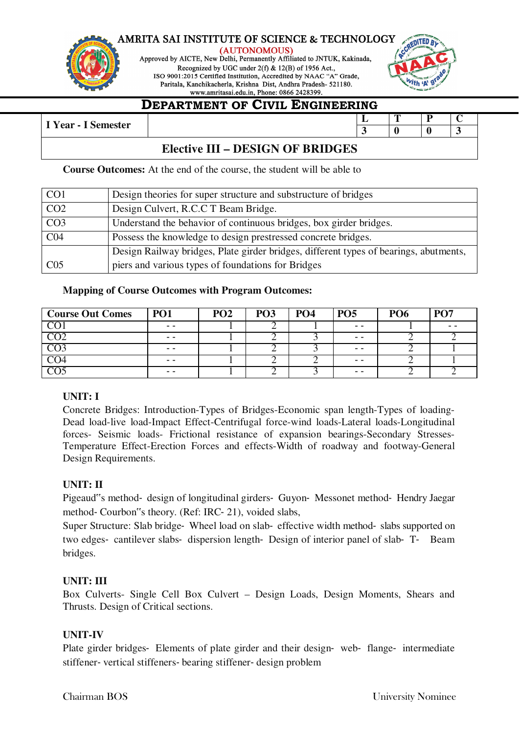



### **DEPARTMENT OF CIVIL ENGINEERING**

| I Year - l<br>- ~<br>Semester |         |         |  |  |                          | æ |   |  |
|-------------------------------|---------|---------|--|--|--------------------------|---|---|--|
| -                             |         |         |  |  | $\overline{\phantom{a}}$ |   | υ |  |
|                               | _______ | _______ |  |  |                          |   |   |  |

### **Elective III – DESIGN OF BRIDGES**

**Course Outcomes:** At the end of the course, the student will be able to

| CO <sub>1</sub> | Design theories for super structure and substructure of bridges                       |
|-----------------|---------------------------------------------------------------------------------------|
| CO <sub>2</sub> | Design Culvert, R.C.C T Beam Bridge.                                                  |
| CO <sub>3</sub> | Understand the behavior of continuous bridges, box girder bridges.                    |
| CO <sub>4</sub> | Possess the knowledge to design prestressed concrete bridges.                         |
|                 | Design Railway bridges, Plate girder bridges, different types of bearings, abutments, |
| CO <sub>5</sub> | piers and various types of foundations for Bridges                                    |

### **Mapping of Course Outcomes with Program Outcomes:**

| <b>Course Out Comes</b>  | <b>PO1</b> | PO <sub>2</sub> | PO <sub>3</sub> | PO <sub>4</sub> | <b>PO5</b> | <b>PO6</b> | PO <sub>7</sub> |
|--------------------------|------------|-----------------|-----------------|-----------------|------------|------------|-----------------|
|                          | $ -$       |                 |                 |                 | $ -$       |            | - -             |
| $\overline{CO2}$         | - -        |                 |                 |                 | - -        |            |                 |
| $\overline{\phantom{1}}$ | $ -$       |                 |                 |                 | $ -$       |            |                 |
|                          | - -        |                 |                 |                 | - -        |            |                 |
|                          | $- -$      |                 |                 |                 | $- -$      |            |                 |

### **UNIT: I**

Concrete Bridges: Introduction-Types of Bridges-Economic span length-Types of loading-Dead load-live load-Impact Effect-Centrifugal force-wind loads-Lateral loads-Longitudinal forces- Seismic loads- Frictional resistance of expansion bearings-Secondary Stresses-Temperature Effect-Erection Forces and effects-Width of roadway and footway-General Design Requirements.

### **UNIT: II**

Pigeaud"s method‐ design of longitudinal girders‐ Guyon‐ Messonet method‐ Hendry Jaegar method‐ Courbon"s theory. (Ref: IRC‐ 21), voided slabs,

Super Structure: Slab bridge‐ Wheel load on slab‐ effective width method‐ slabs supported on two edges‐ cantilever slabs‐ dispersion length‐ Design of interior panel of slab‐ T‐ Beam bridges.

### **UNIT: III**

Box Culverts- Single Cell Box Culvert – Design Loads, Design Moments, Shears and Thrusts. Design of Critical sections.

### **UNIT-IV**

Plate girder bridges- Elements of plate girder and their design- web- flange- intermediate stiffener‐ vertical stiffeners‐ bearing stiffener‐ design problem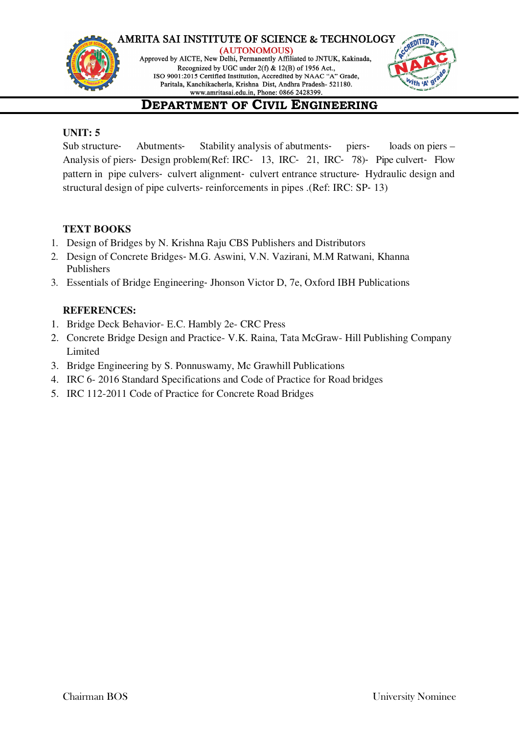

(AUTONOMOUS) Approved by AICTE, New Delhi, Permanently Affiliated to JNTUK, Kakinada, Recognized by UGC under 2(f) & 12(B) of 1956 Act., ISO 9001:2015 Certified Institution, Accredited by NAAC "A" Grade, Paritala, Kanchikacherla, Krishna Dist, Andhra Pradesh- 521180.



# **DEPARTMENT OF CIVIL ENGINEERING**

### **UNIT: 5**

Sub structure‐ Abutments‐ Stability analysis of abutments‐ piers‐ loads on piers – Analysis of piers‐ Design problem(Ref: IRC‐ 13, IRC‐ 21, IRC‐ 78)‐ Pipe culvert‐ Flow pattern in pipe culvers‐ culvert alignment‐ culvert entrance structure‐ Hydraulic design and structural design of pipe culverts‐ reinforcements in pipes .(Ref: IRC: SP‐ 13)

### **TEXT BOOKS**

- 1. Design of Bridges by N. Krishna Raju CBS Publishers and Distributors
- 2. Design of Concrete Bridges‐ M.G. Aswini, V.N. Vazirani, M.M Ratwani, Khanna Publishers
- 3. Essentials of Bridge Engineering‐ Jhonson Victor D, 7e, Oxford IBH Publications

### **REFERENCES:**

- 1. Bridge Deck Behavior- E.C. Hambly 2e- CRC Press
- 2. Concrete Bridge Design and Practice- V.K. Raina, Tata McGraw- Hill Publishing Company Limited
- 3. Bridge Engineering by S. Ponnuswamy, Mc Grawhill Publications
- 4. IRC 6- 2016 Standard Specifications and Code of Practice for Road bridges
- 5. IRC 112-2011 Code of Practice for Concrete Road Bridges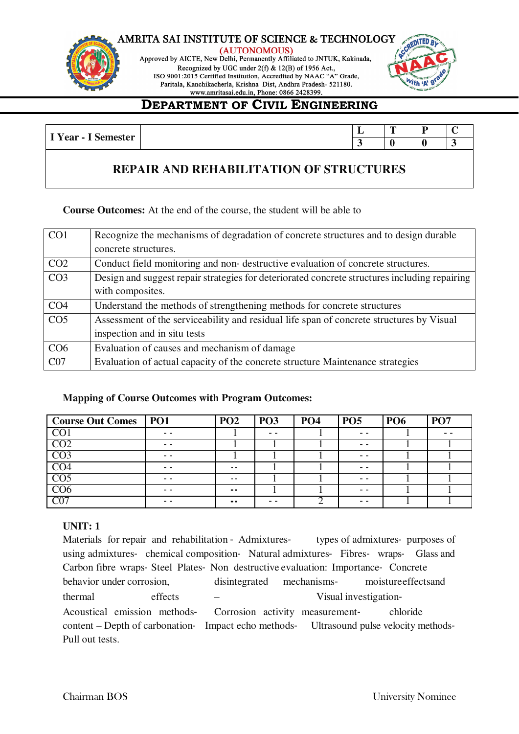

(AUTONOMOUS) Approved by AICTE, New Delhi, Permanently Affiliated to JNTUK, Kakinada, Recognized by UGC under 2(f) & 12(B) of 1956 Act., ISO 9001:2015 Certified Institution, Accredited by NAAC "A" Grade,

Paritala, Kanchikacherla, Krishna Dist, Andhra Pradesh- 521180.



### **DEPARTMENT OF CIVIL ENGINEERING**

| $\mathbf{v}$<br>$-22.25$ | -- | -- |  |
|--------------------------|----|----|--|
| ear                      |    |    |  |
|                          |    |    |  |

### **REPAIR AND REHABILITATION OF STRUCTURES**

**Course Outcomes:** At the end of the course, the student will be able to

| CO <sub>1</sub> | Recognize the mechanisms of degradation of concrete structures and to design durable          |
|-----------------|-----------------------------------------------------------------------------------------------|
|                 | concrete structures.                                                                          |
| CO <sub>2</sub> | Conduct field monitoring and non-destructive evaluation of concrete structures.               |
| CO <sub>3</sub> | Design and suggest repair strategies for deteriorated concrete structures including repairing |
|                 | with composites.                                                                              |
| CO <sub>4</sub> | Understand the methods of strengthening methods for concrete structures                       |
| CO <sub>5</sub> | Assessment of the serviceability and residual life span of concrete structures by Visual      |
|                 | inspection and in situ tests                                                                  |
| CO <sub>6</sub> | Evaluation of causes and mechanism of damage                                                  |
| CO7             | Evaluation of actual capacity of the concrete structure Maintenance strategies                |

### **Mapping of Course Outcomes with Program Outcomes:**

| <b>Course Out Comes</b> | PO1 | PO <sub>2</sub>              | <b>PO3</b> | <b>PO4</b> | <b>PO5</b> | <b>PO6</b> | PO <sub>7</sub> |
|-------------------------|-----|------------------------------|------------|------------|------------|------------|-----------------|
| $\overline{\text{CO}}$  | - - |                              | - -        |            | - -        |            |                 |
| CO <sub>2</sub>         | - - |                              |            |            | $ -$       |            |                 |
| CO <sub>3</sub>         | - - |                              |            |            | - -        |            |                 |
| CO <sub>4</sub>         | - - | $\sim$ $\sim$                |            |            | - -        |            |                 |
| $\overline{CO5}$        |     | $\sim$ $\sim$                |            |            | - -        |            |                 |
| CO6                     | - - | $\qquad \qquad \blacksquare$ |            |            | - -        |            |                 |
| $\overline{\text{C}07}$ | - - | $- -$                        | - -        |            | - -        |            |                 |

### **UNIT: 1**

Materials for repair and rehabilitation - Admixtures types of admixtures purposes of using admixtures‐ chemical composition‐ Natural admixtures‐ Fibres‐ wraps‐ Glass and Carbon fibre wraps‐ Steel Plates‐ Non destructive evaluation: Importance‐ Concrete behavior under corrosion, disintegrated mechanisms- moisture effects and thermal effects – Visual investigation-Acoustical emission methods-<br>
Corrosion activity measurement-<br>
chloride content – Depth of carbonation- Impact echo methods- Ultrasound pulse velocity methods-Pull out tests.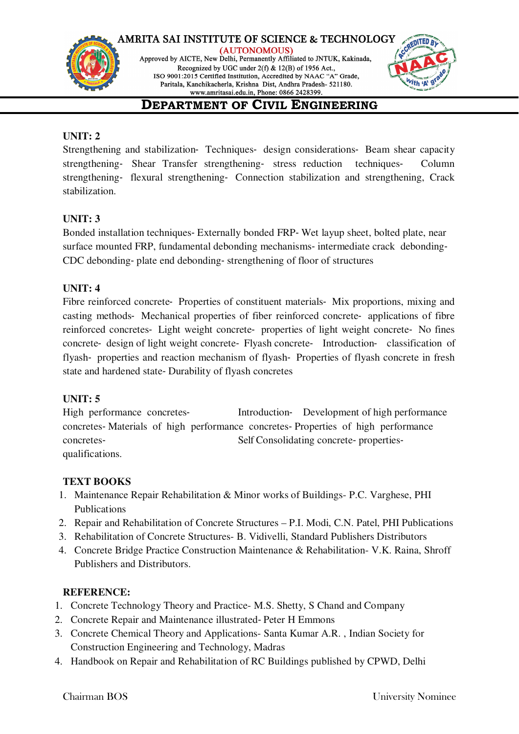



# **DEPARTMENT OF CIVIL ENGINEERING**

### **UNIT: 2**

Strengthening and stabilization‐ Techniques‐ design considerations‐ Beam shear capacity strengthening- Shear Transfer strengthening- stress reduction techniques- Column strengthening‐ flexural strengthening‐ Connection stabilization and strengthening, Crack stabilization.

### **UNIT: 3**

Bonded installation techniques‐ Externally bonded FRP‐ Wet layup sheet, bolted plate, near surface mounted FRP, fundamental debonding mechanisms- intermediate crack debonding-CDC debonding‐ plate end debonding‐ strengthening of floor of structures

### **UNIT: 4**

Fibre reinforced concrete- Properties of constituent materials- Mix proportions, mixing and casting methods‐ Mechanical properties of fiber reinforced concrete‐ applications of fibre reinforced concretes‐ Light weight concrete‐ properties of light weight concrete‐ No fines concrete‐ design of light weight concrete‐ Flyash concrete‐ Introduction‐ classification of flyash- properties and reaction mechanism of flyash- Properties of flyash concrete in fresh state and hardened state‐ Durability of flyash concretes

### **UNIT: 5**

High performance concretes-<br>Introduction-<br>Development of high performance concretes‐ Materials of high performance concretes‐ Properties of high performance concretes— Self Consolidating concrete- properties qualifications.

### **TEXT BOOKS**

- 1. Maintenance Repair Rehabilitation & Minor works of Buildings- P.C. Varghese, PHI Publications
- 2. Repair and Rehabilitation of Concrete Structures P.I. Modi, C.N. Patel, PHI Publications
- 3. Rehabilitation of Concrete Structures- B. Vidivelli, Standard Publishers Distributors
- 4. Concrete Bridge Practice Construction Maintenance & Rehabilitation- V.K. Raina, Shroff Publishers and Distributors.

### **REFERENCE:**

- 1. Concrete Technology Theory and Practice- M.S. Shetty, S Chand and Company
- 2. Concrete Repair and Maintenance illustrated‐ Peter H Emmons
- 3. Concrete Chemical Theory and Applications- Santa Kumar A.R. , Indian Society for Construction Engineering and Technology, Madras
- 4. Handbook on Repair and Rehabilitation of RC Buildings published by CPWD, Delhi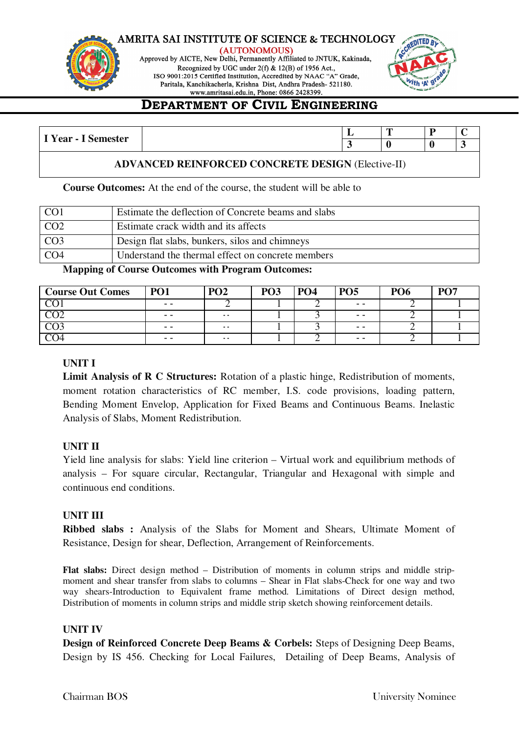

(AUTONOMOUS) Approved by AICTE, New Delhi, Permanently Affiliated to JNTUK, Kakinada, Recognized by UGC under 2(f) & 12(B) of 1956 Act., ISO 9001:2015 Certified Institution, Accredited by NAAC "A" Grade, Paritala, Kanchikacherla, Krishna Dist, Andhra Pradesh- 521180.



# **DEPARTMENT OF CIVIL ENGINEERING**

| $\mathbf{v}$<br>$\sim$                 |  | m | - |  |
|----------------------------------------|--|---|---|--|
| <b>Semester</b><br>$\chi$ ear - $\chi$ |  |   |   |  |

### **ADVANCED REINFORCED CONCRETE DESIGN** (Elective-II)

**Course Outcomes:** At the end of the course, the student will be able to

| CO <sub>1</sub> | Estimate the deflection of Concrete beams and slabs |
|-----------------|-----------------------------------------------------|
| CO <sub>2</sub> | Estimate crack width and its affects                |
| CO <sub>3</sub> | Design flat slabs, bunkers, silos and chimneys      |
| CO <sub>4</sub> | Understand the thermal effect on concrete members   |

**Mapping of Course Outcomes with Program Outcomes:**

| <b>Course Out Comes</b> | <b>PO1</b> | PO <sub>2</sub> | PO <sub>3</sub> | <b>PO4</b> | <b>PO5</b> | <b>PO6</b> | <b>PO7</b> |
|-------------------------|------------|-----------------|-----------------|------------|------------|------------|------------|
|                         | $ -$       |                 |                 |            | $ -$       |            |            |
|                         | $ -$       | $\sim$          |                 |            | $ -$       |            |            |
|                         | $ -$       | $\sim$          |                 |            | $ -$       |            |            |
|                         | $ -$       | $\sim$ $\sim$   |                 |            | $ -$       |            |            |

### **UNIT I**

**Limit Analysis of R C Structures:** Rotation of a plastic hinge, Redistribution of moments, moment rotation characteristics of RC member, I.S. code provisions, loading pattern, Bending Moment Envelop, Application for Fixed Beams and Continuous Beams. Inelastic Analysis of Slabs, Moment Redistribution.

### **UNIT II**

Yield line analysis for slabs: Yield line criterion – Virtual work and equilibrium methods of analysis – For square circular, Rectangular, Triangular and Hexagonal with simple and continuous end conditions.

### **UNIT III**

**Ribbed slabs :** Analysis of the Slabs for Moment and Shears, Ultimate Moment of Resistance, Design for shear, Deflection, Arrangement of Reinforcements.

**Flat slabs:** Direct design method – Distribution of moments in column strips and middle stripmoment and shear transfer from slabs to columns – Shear in Flat slabs-Check for one way and two way shears-Introduction to Equivalent frame method. Limitations of Direct design method, Distribution of moments in column strips and middle strip sketch showing reinforcement details.

### **UNIT IV**

**Design of Reinforced Concrete Deep Beams & Corbels:** Steps of Designing Deep Beams, Design by IS 456. Checking for Local Failures, Detailing of Deep Beams, Analysis of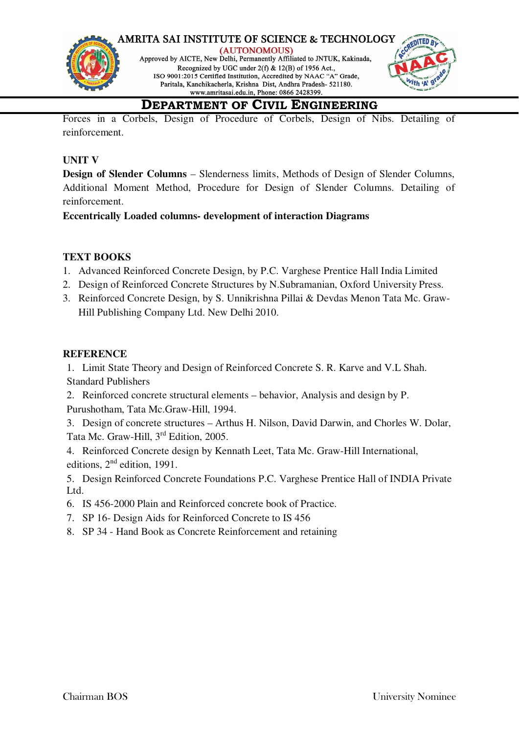



# **DEPARTMENT OF CIVIL ENGINEERING**

Forces in a Corbels, Design of Procedure of Corbels, Design of Nibs. Detailing of reinforcement.

### **UNIT V**

**Design of Slender Columns** – Slenderness limits, Methods of Design of Slender Columns, Additional Moment Method, Procedure for Design of Slender Columns. Detailing of reinforcement.

**Eccentrically Loaded columns- development of interaction Diagrams**

### **TEXT BOOKS**

- 1. Advanced Reinforced Concrete Design, by P.C. Varghese Prentice Hall India Limited
- 2. Design of Reinforced Concrete Structures by N.Subramanian, Oxford University Press.
- 3. Reinforced Concrete Design, by S. Unnikrishna Pillai & Devdas Menon Tata Mc. Graw-Hill Publishing Company Ltd. New Delhi 2010.

### **REFERENCE**

1. Limit State Theory and Design of Reinforced Concrete S. R. Karve and V.L Shah. Standard Publishers

2. Reinforced concrete structural elements – behavior, Analysis and design by P. Purushotham, Tata Mc.Graw-Hill, 1994.

3. Design of concrete structures – Arthus H. Nilson, David Darwin, and Chorles W. Dolar, Tata Mc. Graw-Hill, 3rd Edition, 2005.

4. Reinforced Concrete design by Kennath Leet, Tata Mc. Graw-Hill International, editions,  $2<sup>nd</sup>$  edition, 1991.

5. Design Reinforced Concrete Foundations P.C. Varghese Prentice Hall of INDIA Private Ltd.

- 6. IS 456-2000 Plain and Reinforced concrete book of Practice.
- 7. SP 16- Design Aids for Reinforced Concrete to IS 456
- 8. SP 34 Hand Book as Concrete Reinforcement and retaining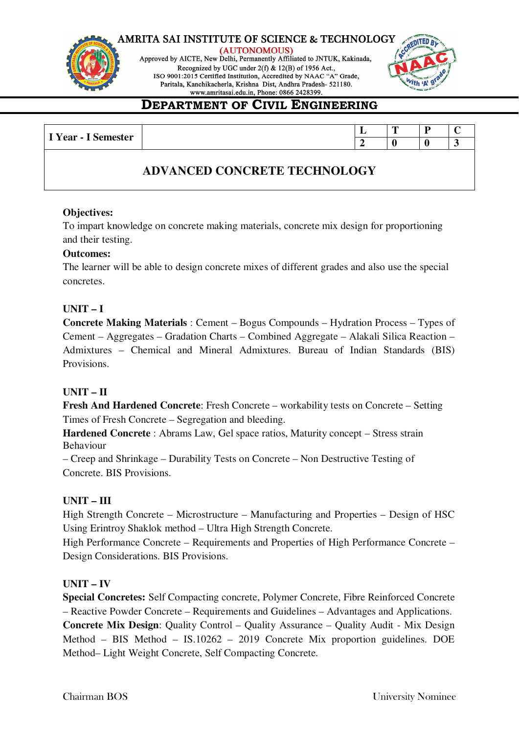

(AUTONOMOUS) Approved by AICTE, New Delhi, Permanently Affiliated to JNTUK, Kakinada, Recognized by UGC under 2(f) & 12(B) of 1956 Act., ISO 9001:2015 Certified Institution, Accredited by NAAC "A" Grade, Paritala, Kanchikacherla, Krishna Dist, Andhra Pradesh- 521180.



# **DEPARTMENT OF CIVIL ENGINEERING**

|                     |  | œ |  |
|---------------------|--|---|--|
| I Year - I Semester |  |   |  |
|                     |  |   |  |

### **ADVANCED CONCRETE TECHNOLOGY**

### **Objectives:**

To impart knowledge on concrete making materials, concrete mix design for proportioning and their testing.

### **Outcomes:**

The learner will be able to design concrete mixes of different grades and also use the special concretes.

### **UNIT – I**

**Concrete Making Materials** : Cement – Bogus Compounds – Hydration Process – Types of Cement – Aggregates – Gradation Charts – Combined Aggregate – Alakali Silica Reaction – Admixtures – Chemical and Mineral Admixtures. Bureau of Indian Standards (BIS) Provisions.

### **UNIT – II**

**Fresh And Hardened Concrete**: Fresh Concrete – workability tests on Concrete – Setting Times of Fresh Concrete – Segregation and bleeding.

**Hardened Concrete** : Abrams Law, Gel space ratios, Maturity concept – Stress strain Behaviour

– Creep and Shrinkage – Durability Tests on Concrete – Non Destructive Testing of Concrete. BIS Provisions.

### **UNIT – III**

High Strength Concrete – Microstructure – Manufacturing and Properties – Design of HSC Using Erintroy Shaklok method – Ultra High Strength Concrete.

High Performance Concrete – Requirements and Properties of High Performance Concrete – Design Considerations. BIS Provisions.

### **UNIT – IV**

**Special Concretes:** Self Compacting concrete, Polymer Concrete, Fibre Reinforced Concrete – Reactive Powder Concrete – Requirements and Guidelines – Advantages and Applications. **Concrete Mix Design**: Quality Control – Quality Assurance – Quality Audit - Mix Design Method – BIS Method – IS.10262 – 2019 Concrete Mix proportion guidelines. DOE Method– Light Weight Concrete, Self Compacting Concrete.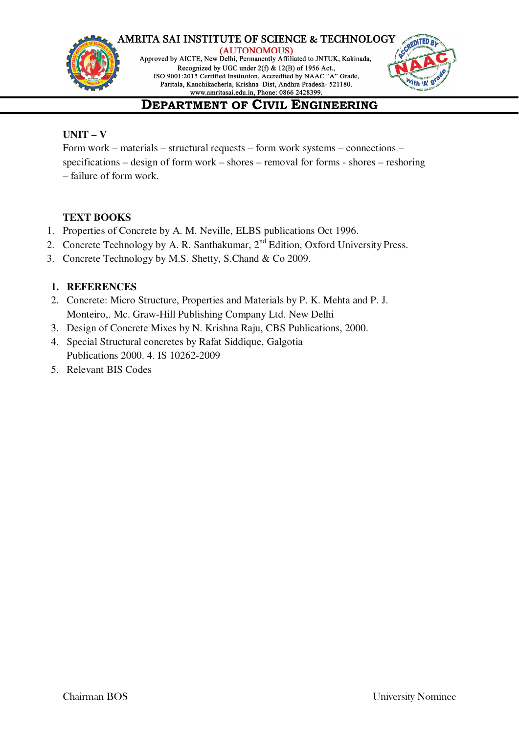

(AUTONOMOUS) Approved by AICTE, New Delhi, Permanently Affiliated to JNTUK, Kakinada, Recognized by UGC under 2(f) & 12(B) of 1956 Act., ISO 9001:2015 Certified Institution, Accredited by NAAC "A" Grade, Paritala, Kanchikacherla, Krishna Dist, Andhra Pradesh- 521180.



# **DEPARTMENT OF CIVIL ENGINEERING**

### **UNIT – V**

Form work – materials – structural requests – form work systems – connections – specifications – design of form work – shores – removal for forms - shores – reshoring – failure of form work.

### **TEXT BOOKS**

- 1. Properties of Concrete by A. M. Neville, ELBS publications Oct 1996.
- 2. Concrete Technology by A. R. Santhakumar, 2<sup>nd</sup> Edition, Oxford University Press.
- 3. Concrete Technology by M.S. Shetty, S.Chand & Co 2009.

### **1. REFERENCES**

- 2. Concrete: Micro Structure, Properties and Materials by P. K. Mehta and P. J. Monteiro,. Mc. Graw-Hill Publishing Company Ltd. New Delhi
- 3. Design of Concrete Mixes by N. Krishna Raju, CBS Publications, 2000.
- 4. Special Structural concretes by Rafat Siddique, Galgotia Publications 2000. 4. IS 10262-2009
- 5. Relevant BIS Codes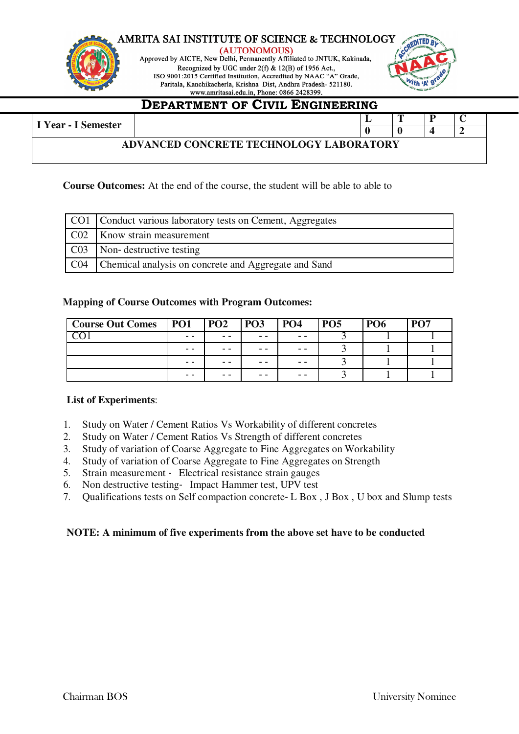



# **DEPARTMENT OF CIVIL ENGINEERING**

| ADVANCED CONCRETE TECHNOLOGY LABORATORY | I Year - I Semester |  |  | ю |  |
|-----------------------------------------|---------------------|--|--|---|--|
|                                         |                     |  |  |   |  |
|                                         |                     |  |  |   |  |

### **Course Outcomes:** At the end of the course, the student will be able to able to

| CO1   Conduct various laboratory tests on Cement, Aggregates |
|--------------------------------------------------------------|
| CO2   Know strain measurement                                |
| C03   Non- destructive testing                               |
| CO4   Chemical analysis on concrete and Aggregate and Sand   |

### **Mapping of Course Outcomes with Program Outcomes:**

| <b>Course Out Comes</b> | P <sub>01</sub> | <b>PO2</b> | PO <sub>3</sub> | <b>PO4</b> | <b>PO5</b> | <b>PO6</b> | P <sub>O</sub> 7 |
|-------------------------|-----------------|------------|-----------------|------------|------------|------------|------------------|
|                         | - -             | - -        | - -             | - -        |            |            |                  |
|                         | - -             | - -        | - -             | - -        |            |            |                  |
|                         | - -             | - -        | - -             | - -        |            |            |                  |
|                         | - -             | - -        | - -             | - -        |            |            |                  |

### **List of Experiments**:

- 1. Study on Water / Cement Ratios Vs Workability of different concretes
- 2. Study on Water / Cement Ratios Vs Strength of different concretes
- 3. Study of variation of Coarse Aggregate to Fine Aggregates on Workability
- 4. Study of variation of Coarse Aggregate to Fine Aggregates on Strength
- 5. Strain measurement ‐ Electrical resistance strain gauges
- 6. Non destructive testing‐ Impact Hammer test, UPV test
- 7. Qualifications tests on Self compaction concrete‐ L Box , J Box , U box and Slump tests

### **NOTE: A minimum of five experiments from the above set have to be conducted**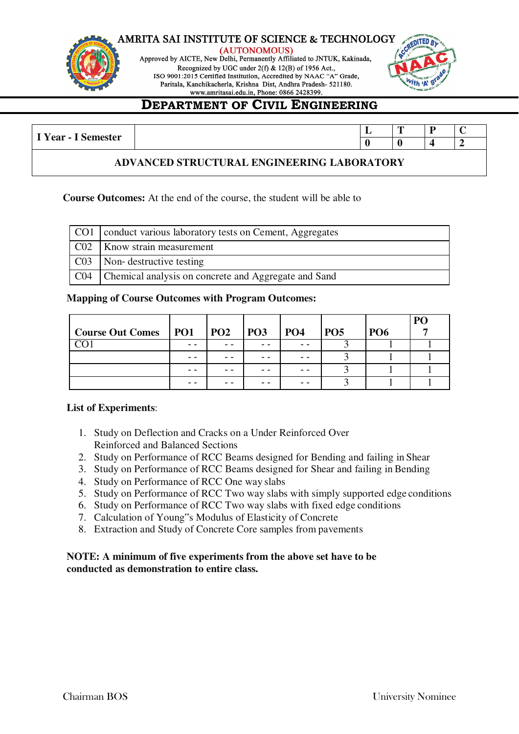





# **DEPARTMENT OF CIVIL ENGINEERING**

| I Year - I<br>Semester | . . | -- |  |
|------------------------|-----|----|--|
|                        |     |    |  |

### **ADVANCED STRUCTURAL ENGINEERING LABORATORY**

### **Course Outcomes:** At the end of the course, the student will be able to

| CO1   conduct various laboratory tests on Cement, Aggregates |
|--------------------------------------------------------------|
| C02   Know strain measurement                                |
| C03 Non-destructive testing                                  |
| C04   Chemical analysis on concrete and Aggregate and Sand   |

### **Mapping of Course Outcomes with Program Outcomes:**

|                              |     |            |            |            |            | P( |
|------------------------------|-----|------------|------------|------------|------------|----|
| Course Out Comes   PO1   PO2 |     | <b>PO3</b> | <b>PO4</b> | <b>PO5</b> | <b>PO6</b> |    |
|                              | - - |            |            |            |            |    |
|                              | - - | - -        |            |            |            |    |
|                              | - - |            |            |            |            |    |
|                              | - - |            |            |            |            |    |

### **List of Experiments**:

- 1. Study on Deflection and Cracks on a Under Reinforced Over Reinforced and Balanced Sections
- 2. Study on Performance of RCC Beams designed for Bending and failing in Shear
- 3. Study on Performance of RCC Beams designed for Shear and failing in Bending
- 4. Study on Performance of RCC One way slabs
- 5. Study on Performance of RCC Two way slabs with simply supported edge conditions
- 6. Study on Performance of RCC Two way slabs with fixed edge conditions
- 7. Calculation of Young"s Modulus of Elasticity of Concrete
- 8. Extraction and Study of Concrete Core samples from pavements

### **NOTE: A minimum of five experiments from the above set have to be conducted as demonstration to entire class.**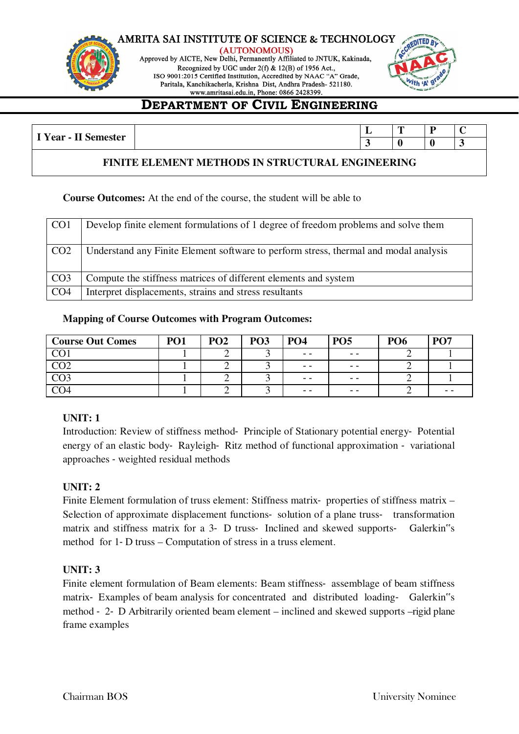

(AUTONOMOUS) Approved by AICTE, New Delhi, Permanently Affiliated to JNTUK, Kakinada, Recognized by UGC under 2(f) & 12(B) of 1956 Act., ISO 9001:2015 Certified Institution, Accredited by NAAC "A" Grade, Paritala, Kanchikacherla, Krishna Dist, Andhra Pradesh- 521180.



# **DEPARTMENT OF CIVIL ENGINEERING**

| $\mathbf{v}$<br>--<br>$\sim$<br>$Year -$<br>nester<br>ΩИ<br>--<br>$\ddotsc$ | . . | - |                          |
|-----------------------------------------------------------------------------|-----|---|--------------------------|
|                                                                             |     |   | $\overline{\phantom{a}}$ |

### **FINITE ELEMENT METHODS IN STRUCTURAL ENGINEERING**

### **Course Outcomes:** At the end of the course, the student will be able to

| CO <sub>1</sub>  | Develop finite element formulations of 1 degree of freedom problems and solve them   |
|------------------|--------------------------------------------------------------------------------------|
| CO <sub>2</sub>  | Understand any Finite Element software to perform stress, thermal and modal analysis |
| $\overline{CO3}$ | Compute the stiffness matrices of different elements and system                      |
| CO <sub>4</sub>  | Interpret displacements, strains and stress resultants                               |

### **Mapping of Course Outcomes with Program Outcomes:**

| <b>Course Out Comes</b> | PO1 | PO <sub>2</sub> | <b>PO3</b> | <b>PO4</b> | PO <sub>5</sub>   | <b>PO6</b> | PO <sub>7</sub> |
|-------------------------|-----|-----------------|------------|------------|-------------------|------------|-----------------|
| CΩ1                     |     |                 |            | $ -$       | $- -$             |            |                 |
|                         |     | ∸               |            | $ -$       | $\qquad \qquad -$ |            |                 |
|                         |     | ∸               |            | - -        | $ -$              |            |                 |
|                         |     | ∸               |            | $ -$       | $ -$              |            | - -             |

### **UNIT: 1**

Introduction: Review of stiffness method‐ Principle of Stationary potential energy‐ Potential energy of an elastic body‐ Rayleigh‐ Ritz method of functional approximation ‐ variational approaches ‐ weighted residual methods

### **UNIT: 2**

Finite Element formulation of truss element: Stiffness matrix- properties of stiffness matrix – Selection of approximate displacement functions- solution of a plane truss- transformation matrix and stiffness matrix for a 3- D truss- Inclined and skewed supports- Galerkin"s method for 1‐ D truss – Computation of stress in a truss element.

### **UNIT: 3**

Finite element formulation of Beam elements: Beam stiffness- assemblage of beam stiffness matrix- Examples of beam analysis for concentrated and distributed loading- Galerkin<sup>or</sup>s method ‐ 2‐ D Arbitrarily oriented beam element – inclined and skewed supports –rigid plane frame examples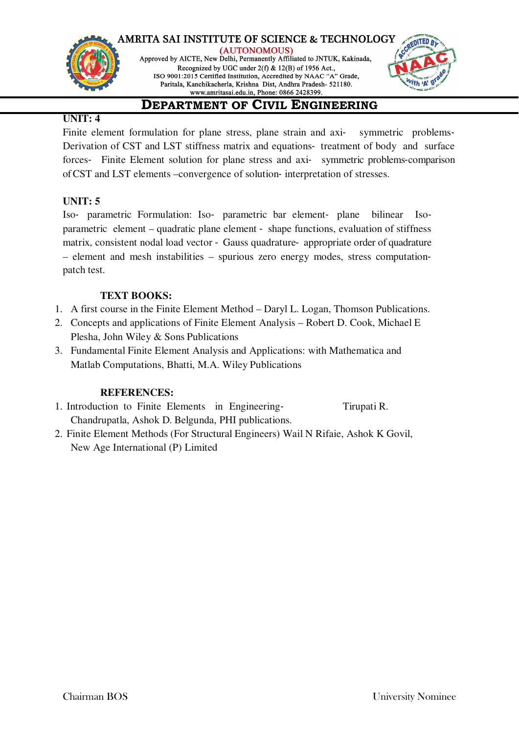



### **UNIT: 4**

Finite element formulation for plane stress, plane strain and axi-<br>symmetric problems-Derivation of CST and LST stiffness matrix and equations‐ treatment of body and surface forces– Finite Element solution for plane stress and axi- symmetric problems-comparison of CST and LST elements –convergence of solution‐ interpretation of stresses.

### **UNIT: 5**

Iso‐ parametric Formulation: Iso‐ parametric bar element‐ plane bilinear Iso‐ parametric element – quadratic plane element ‐ shape functions, evaluation of stiffness matrix, consistent nodal load vector ‐ Gauss quadrature‐ appropriate order of quadrature – element and mesh instabilities – spurious zero energy modes, stress computation‐ patch test.

### **TEXT BOOKS:**

- 1. A first course in the Finite Element Method Daryl L. Logan, Thomson Publications.
- 2. Concepts and applications of Finite Element Analysis Robert D. Cook, Michael E Plesha, John Wiley & Sons Publications
- 3. Fundamental Finite Element Analysis and Applications: with Mathematica and Matlab Computations, Bhatti, M.A. Wiley Publications

### **REFERENCES:**

- 1. Introduction to Finite Elements in Engineering-<br>
Tirupati R. Chandrupatla, Ashok D. Belgunda, PHI publications.
- 2. Finite Element Methods (For Structural Engineers) Wail N Rifaie, Ashok K Govil, New Age International (P) Limited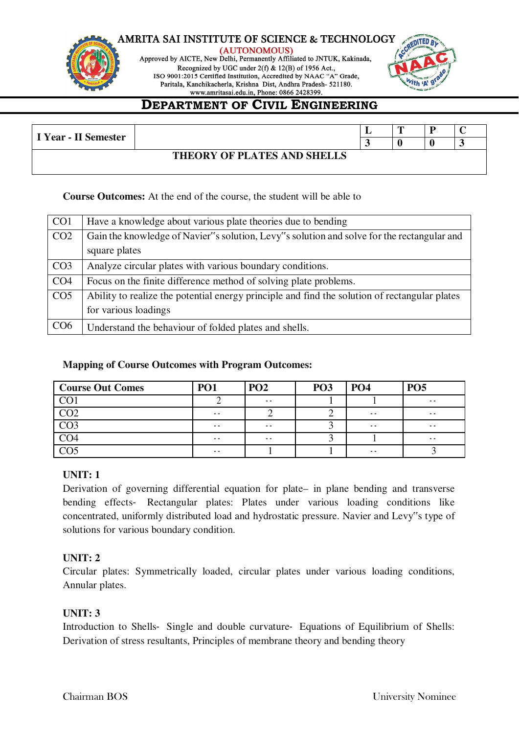

(AUTONOMOUS) Approved by AICTE, New Delhi, Permanently Affiliated to JNTUK, Kakinada, Recognized by UGC under 2(f) & 12(B) of 1956 Act., ISO 9001:2015 Certified Institution, Accredited by NAAC "A" Grade, Paritala, Kanchikacherla, Krishna Dist, Andhra Pradesh- 521180.



# **DEPARTMENT OF CIVIL ENGINEERING**

| I Year - II Semester |                             |  | D |  |
|----------------------|-----------------------------|--|---|--|
|                      |                             |  |   |  |
|                      | THEORY OF PLATES AND SHELLS |  |   |  |
|                      |                             |  |   |  |

### **Course Outcomes:** At the end of the course, the student will be able to

| CO <sub>1</sub> | Have a knowledge about various plate theories due to bending                                  |
|-----------------|-----------------------------------------------------------------------------------------------|
| CO <sub>2</sub> | Gain the knowledge of Navier"s solution, Levy"s solution and solve for the rectangular and    |
|                 | square plates                                                                                 |
| CO <sub>3</sub> | Analyze circular plates with various boundary conditions.                                     |
| CO <sub>4</sub> | Focus on the finite difference method of solving plate problems.                              |
| CO <sub>5</sub> | Ability to realize the potential energy principle and find the solution of rectangular plates |
|                 | for various loadings                                                                          |
| CO6             | Understand the behaviour of folded plates and shells.                                         |

### **Mapping of Course Outcomes with Program Outcomes:**

| <b>Course Out Comes</b> | <b>PO1</b>    | PO <sub>2</sub> | PO <sub>3</sub> | PO <sub>4</sub> | PO <sub>5</sub> |
|-------------------------|---------------|-----------------|-----------------|-----------------|-----------------|
| CO <sub>1</sub>         |               | $\sim$ $\sim$   |                 |                 | $\sim$ $\sim$   |
|                         | $ -$          |                 |                 | $\sim$ $\sim$   | $\sim$ $\sim$   |
|                         | $\sim$ $\sim$ | $\sim$ $\sim$   |                 | $\sim$ $\sim$   | $\sim$ $\sim$   |
|                         | $ -$          | $\sim$ $\sim$   |                 |                 | $\sim$ $\sim$   |
|                         | $ -$          |                 |                 | $\sim$ $\sim$   |                 |

### **UNIT: 1**

Derivation of governing differential equation for plate– in plane bending and transverse bending effects- Rectangular plates: Plates under various loading conditions like concentrated, uniformly distributed load and hydrostatic pressure. Navier and Levy"s type of solutions for various boundary condition.

### **UNIT: 2**

Circular plates: Symmetrically loaded, circular plates under various loading conditions, Annular plates.

### **UNIT: 3**

Introduction to Shells‐ Single and double curvature‐ Equations of Equilibrium of Shells: Derivation of stress resultants, Principles of membrane theory and bending theory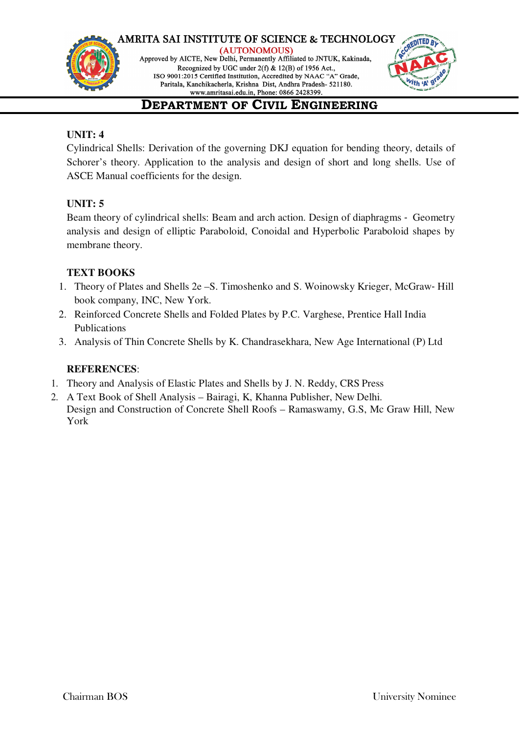





# **DEPARTMENT OF CIVIL ENGINEERING**

### **UNIT: 4**

Cylindrical Shells: Derivation of the governing DKJ equation for bending theory, details of Schorer's theory. Application to the analysis and design of short and long shells. Use of ASCE Manual coefficients for the design.

### **UNIT: 5**

Beam theory of cylindrical shells: Beam and arch action. Design of diaphragms ‐ Geometry analysis and design of elliptic Paraboloid, Conoidal and Hyperbolic Paraboloid shapes by membrane theory.

### **TEXT BOOKS**

- 1. Theory of Plates and Shells 2e S. Timoshenko and S. Woinowsky Krieger, McGraw-Hill book company, INC, New York.
- 2. Reinforced Concrete Shells and Folded Plates by P.C. Varghese, Prentice Hall India Publications
- 3. Analysis of Thin Concrete Shells by K. Chandrasekhara, New Age International (P) Ltd

### **REFERENCES**:

- 1. Theory and Analysis of Elastic Plates and Shells by J. N. Reddy, CRS Press
- 2. A Text Book of Shell Analysis Bairagi, K, Khanna Publisher, New Delhi. Design and Construction of Concrete Shell Roofs – Ramaswamy, G.S, Mc Graw Hill, New York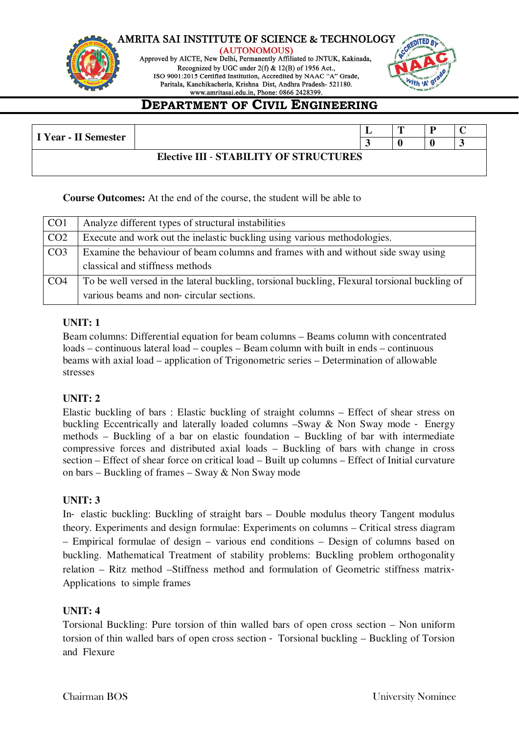

(AUTONOMOUS) Approved by AICTE, New Delhi, Permanently Affiliated to JNTUK, Kakinada, Recognized by UGC under 2(f) & 12(B) of 1956 Act., ISO 9001:2015 Certified Institution, Accredited by NAAC "A" Grade, Paritala, Kanchikacherla, Krishna Dist, Andhra Pradesh- 521180.



# **DEPARTMENT OF CIVIL ENGINEERING**

| I Year - II Semester |                                               | m |  |
|----------------------|-----------------------------------------------|---|--|
|                      |                                               |   |  |
|                      | <b>Elective III - STABILITY OF STRUCTURES</b> |   |  |

**Course Outcomes:** At the end of the course, the student will be able to

| CO <sub>1</sub> | Analyze different types of structural instabilities                                           |
|-----------------|-----------------------------------------------------------------------------------------------|
| CO <sub>2</sub> | Execute and work out the inelastic buckling using various methodologies.                      |
| CO <sub>3</sub> | Examine the behaviour of beam columns and frames with and without side sway using             |
|                 | classical and stiffness methods                                                               |
| CO4             | To be well versed in the lateral buckling, torsional buckling, Flexural torsional buckling of |
|                 | various beams and non-circular sections.                                                      |

### **UNIT: 1**

Beam columns: Differential equation for beam columns – Beams column with concentrated loads – continuous lateral load – couples – Beam column with built in ends – continuous beams with axial load – application of Trigonometric series – Determination of allowable stresses

### **UNIT: 2**

Elastic buckling of bars : Elastic buckling of straight columns – Effect of shear stress on buckling Eccentrically and laterally loaded columns –Sway & Non Sway mode ‐ Energy methods – Buckling of a bar on elastic foundation – Buckling of bar with intermediate compressive forces and distributed axial loads – Buckling of bars with change in cross section – Effect of shear force on critical load – Built up columns – Effect of Initial curvature on bars – Buckling of frames – Sway & Non Sway mode

### **UNIT: 3**

In‐ elastic buckling: Buckling of straight bars – Double modulus theory Tangent modulus theory. Experiments and design formulae: Experiments on columns – Critical stress diagram – Empirical formulae of design – various end conditions – Design of columns based on buckling. Mathematical Treatment of stability problems: Buckling problem orthogonality relation – Ritz method –Stiffness method and formulation of Geometric stiffness matrix‐ Applications to simple frames

### **UNIT: 4**

Torsional Buckling: Pure torsion of thin walled bars of open cross section – Non uniform torsion of thin walled bars of open cross section ‐ Torsional buckling – Buckling of Torsion and Flexure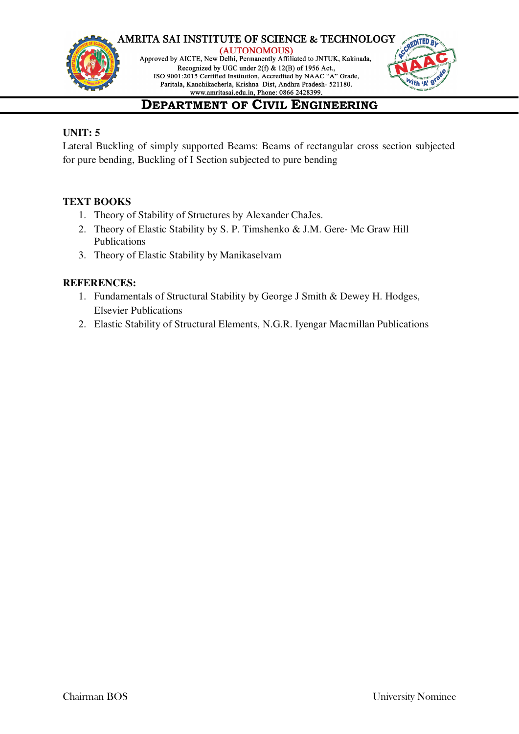



# **DEPARTMENT OF CIVIL ENGINEERING**

### **UNIT: 5**

Lateral Buckling of simply supported Beams: Beams of rectangular cross section subjected for pure bending, Buckling of I Section subjected to pure bending

### **TEXT BOOKS**

- 1. Theory of Stability of Structures by Alexander ChaJes.
- 2. Theory of Elastic Stability by S. P. Timshenko & J.M. Gere- Mc Graw Hill Publications
- 3. Theory of Elastic Stability by Manikaselvam

### **REFERENCES:**

- 1. Fundamentals of Structural Stability by George J Smith & Dewey H. Hodges, Elsevier Publications
- 2. Elastic Stability of Structural Elements, N.G.R. Iyengar Macmillan Publications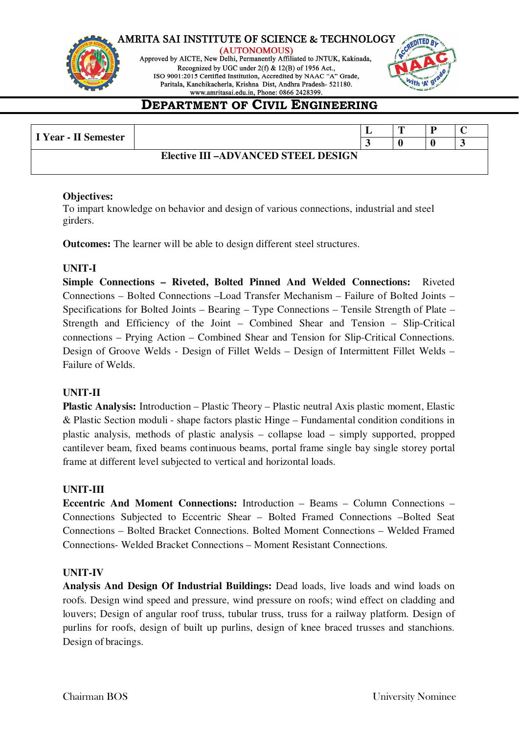

(AUTONOMOUS) Approved by AICTE, New Delhi, Permanently Affiliated to JNTUK, Kakinada, Recognized by UGC under 2(f) & 12(B) of 1956 Act., ISO 9001:2015 Certified Institution, Accredited by NAAC "A" Grade, Paritala, Kanchikacherla, Krishna Dist, Andhra Pradesh- 521180.



# **DEPARTMENT OF CIVIL ENGINEERING**

| I Year - II Semester |                                            | m |  |
|----------------------|--------------------------------------------|---|--|
|                      |                                            |   |  |
|                      | <b>Elective III -ADVANCED STEEL DESIGN</b> |   |  |
|                      |                                            |   |  |

### **Objectives:**

To impart knowledge on behavior and design of various connections, industrial and steel girders.

**Outcomes:** The learner will be able to design different steel structures.

### **UNIT-I**

**Simple Connections – Riveted, Bolted Pinned And Welded Connections:** Riveted Connections – Bolted Connections –Load Transfer Mechanism – Failure of Bolted Joints – Specifications for Bolted Joints – Bearing – Type Connections – Tensile Strength of Plate – Strength and Efficiency of the Joint – Combined Shear and Tension – Slip-Critical connections – Prying Action – Combined Shear and Tension for Slip-Critical Connections. Design of Groove Welds - Design of Fillet Welds – Design of Intermittent Fillet Welds – Failure of Welds.

### **UNIT-II**

**Plastic Analysis:** Introduction – Plastic Theory – Plastic neutral Axis plastic moment, Elastic & Plastic Section moduli - shape factors plastic Hinge – Fundamental condition conditions in plastic analysis, methods of plastic analysis – collapse load – simply supported, propped cantilever beam, fixed beams continuous beams, portal frame single bay single storey portal frame at different level subjected to vertical and horizontal loads.

### **UNIT-III**

**Eccentric And Moment Connections:** Introduction – Beams – Column Connections – Connections Subjected to Eccentric Shear – Bolted Framed Connections –Bolted Seat Connections – Bolted Bracket Connections. Bolted Moment Connections – Welded Framed Connections- Welded Bracket Connections – Moment Resistant Connections.

### **UNIT-IV**

**Analysis And Design Of Industrial Buildings:** Dead loads, live loads and wind loads on roofs. Design wind speed and pressure, wind pressure on roofs; wind effect on cladding and louvers; Design of angular roof truss, tubular truss, truss for a railway platform. Design of purlins for roofs, design of built up purlins, design of knee braced trusses and stanchions. Design of bracings.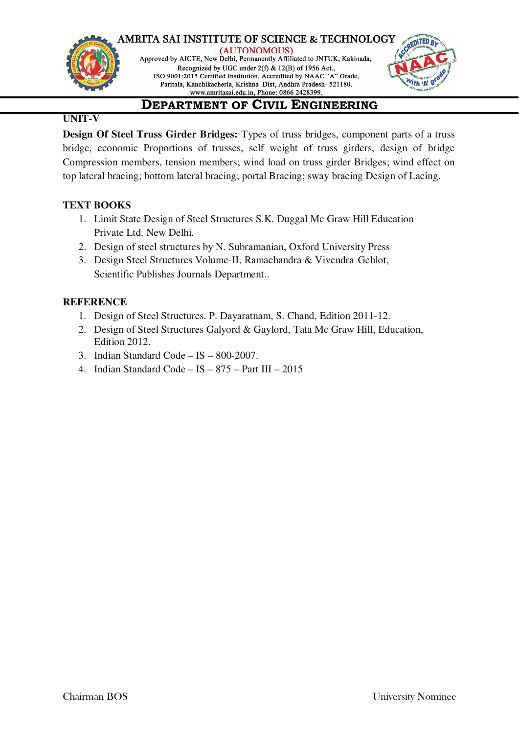

(AUTONOMOUS) Approved by AICTE, New Delhi, Permanently Affiliated to JNTUK, Kakinada, Recognized by UGC under 2(f) & 12(B) of 1956 Act., ISO 9001:2015 Certified Institution, Accredited by NAAC "A" Grade, Paritala, Kanchikacherla, Krishna Dist, Andhra Pradesh- 521180.



# **DEPARTMENT OF CIVIL ENGINEERING**

### **UNIT-V**

**Design Of Steel Truss Girder Bridges:** Types of truss bridges, component parts of a truss bridge, economic Proportions of trusses, self weight of truss girders, design of bridge Compression members, tension members; wind load on truss girder Bridges; wind effect on top lateral bracing; bottom lateral bracing; portal Bracing; sway bracing Design of Lacing.

### **TEXT BOOKS**

- 1. Limit State Design of Steel Structures S.K. Duggal Mc Graw Hill Education Private Ltd. New Delhi.
- 2. Design of steel structures by N. Subramanian, Oxford University Press
- 3. Design Steel Structures Volume-II, Ramachandra & Vivendra Gehlot, Scientific Publishes Journals Department..

### **REFERENCE**

- 1. Design of Steel Structures. P. Dayaratnam, S. Chand, Edition 2011-12.
- 2. Design of Steel Structures Galyord & Gaylord, Tata Mc Graw Hill, Education, Edition 2012.
- 3. Indian Standard Code IS 800-2007.
- 4. Indian Standard Code IS  $875$  Part III 2015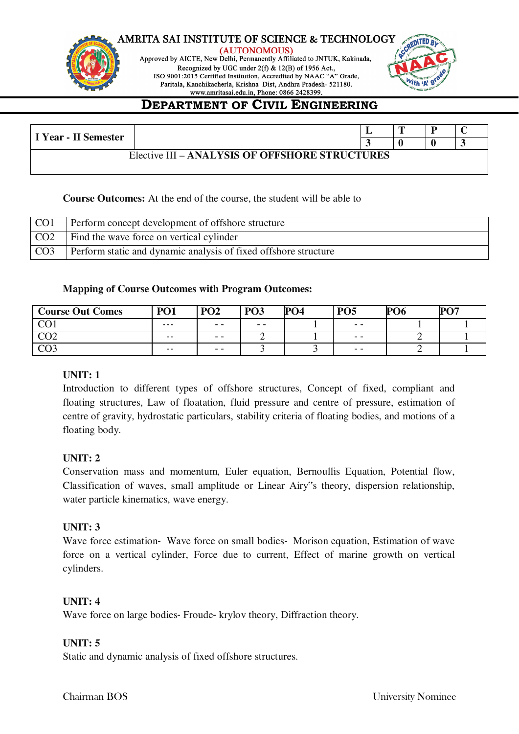



# **DEPARTMENT OF CIVIL ENGINEERING**

| I Year - II Semester |                                                |  |  |
|----------------------|------------------------------------------------|--|--|
|                      | Elective III – ANALYSIS OF OFFSHORE STRUCTURES |  |  |

### **Course Outcomes:** At the end of the course, the student will be able to

| CO <sub>1</sub> | Perform concept development of offshore structure               |
|-----------------|-----------------------------------------------------------------|
| CO <sub>2</sub> | Find the wave force on vertical cylinder                        |
| CO <sub>3</sub> | Perform static and dynamic analysis of fixed offshore structure |

### **Mapping of Course Outcomes with Program Outcomes:**

| <b>Course Out Comes</b> | <b>PO1</b>    | PO <sub>2</sub> | PO <sub>3</sub> | $\overline{O}$ <sub>04</sub> | <b>PO5</b> | <b>PO6</b> | $\mathbf{P}\Omega$ |
|-------------------------|---------------|-----------------|-----------------|------------------------------|------------|------------|--------------------|
| $\sim$                  | $\cdots$      | $ -$            | $ -$            |                              | $ -$       |            |                    |
| $\cap$                  | $\sim$ $\sim$ | $ -$            | ∸               |                              | $- -$      | ؎          |                    |
| $\sim$ $\sim$           | $\sim$ $\sim$ | $ -$            |                 |                              | $- -$      | ∼          |                    |

### **UNIT: 1**

Introduction to different types of offshore structures, Concept of fixed, compliant and floating structures, Law of floatation, fluid pressure and centre of pressure, estimation of centre of gravity, hydrostatic particulars, stability criteria of floating bodies, and motions of a floating body.

### **UNIT: 2**

Conservation mass and momentum, Euler equation, Bernoullis Equation, Potential flow, Classification of waves, small amplitude or Linear Airy"s theory, dispersion relationship, water particle kinematics, wave energy.

### **UNIT: 3**

Wave force estimation Wave force on small bodies Morison equation, Estimation of wave force on a vertical cylinder, Force due to current, Effect of marine growth on vertical cylinders.

### **UNIT: 4**

Wave force on large bodies- Froude- krylov theory, Diffraction theory.

### **UNIT: 5**

Static and dynamic analysis of fixed offshore structures.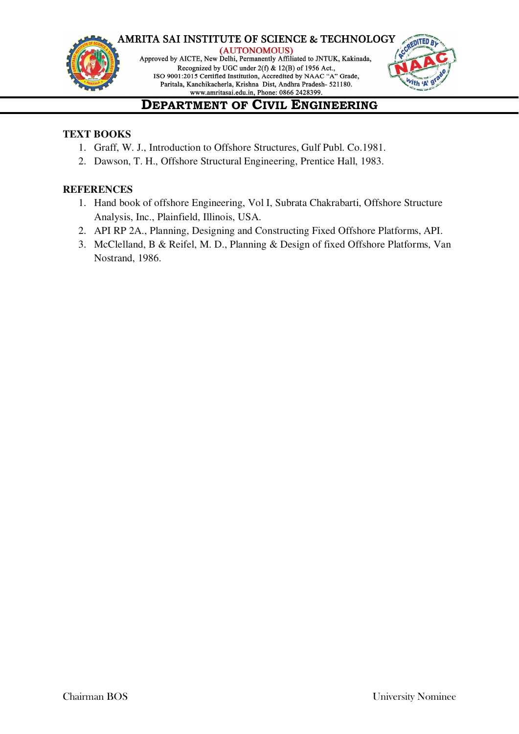



# **DEPARTMENT OF CIVIL ENGINEERING**

### **TEXT BOOKS**

- 1. Graff, W. J., Introduction to Offshore Structures, Gulf Publ. Co.1981.
- 2. Dawson, T. H., Offshore Structural Engineering, Prentice Hall, 1983.

### **REFERENCES**

- 1. Hand book of offshore Engineering, Vol I, Subrata Chakrabarti, Offshore Structure Analysis, Inc., Plainfield, Illinois, USA.
- 2. API RP 2A., Planning, Designing and Constructing Fixed Offshore Platforms, API.
- 3. McClelland, B & Reifel, M. D., Planning & Design of fixed Offshore Platforms, Van Nostrand, 1986.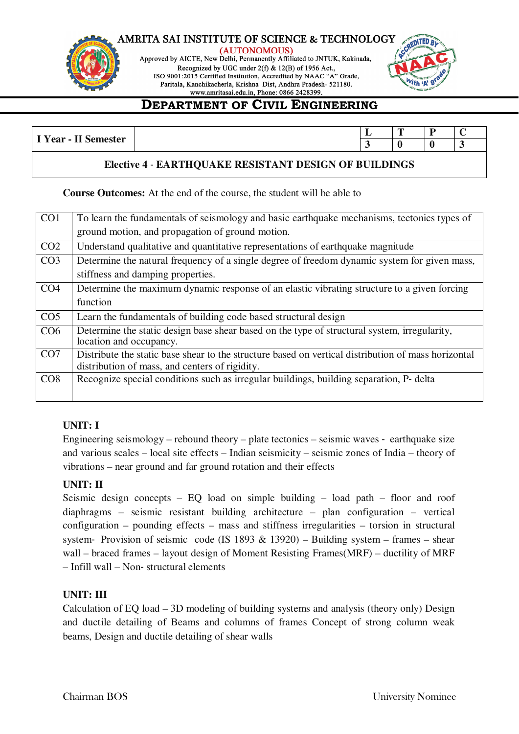

(AUTONOMOUS) Approved by AICTE, New Delhi, Permanently Affiliated to JNTUK, Kakinada, Recognized by UGC under 2(f) & 12(B) of 1956 Act., ISO 9001:2015 Certified Institution, Accredited by NAAC "A" Grade, Paritala, Kanchikacherla, Krishna Dist, Andhra Pradesh- 521180.



# **DEPARTMENT OF CIVIL ENGINEERING**

| T T<br>$ \sim$<br>+^ ** |  | -- | -<br>- | $\sim$ |
|-------------------------|--|----|--------|--------|
| Year<br>-<br>--         |  |    |        |        |

### **Elective 4** ‐ **EARTHQUAKE RESISTANT DESIGN OF BUILDINGS**

**Course Outcomes:** At the end of the course, the student will be able to

| CO <sub>1</sub> | To learn the fundamentals of seismology and basic earthquake mechanisms, tectonics types of         |
|-----------------|-----------------------------------------------------------------------------------------------------|
|                 | ground motion, and propagation of ground motion.                                                    |
| CO <sub>2</sub> | Understand qualitative and quantitative representations of earthquake magnitude                     |
| CO <sub>3</sub> | Determine the natural frequency of a single degree of freedom dynamic system for given mass,        |
|                 | stiffness and damping properties.                                                                   |
| CO <sub>4</sub> | Determine the maximum dynamic response of an elastic vibrating structure to a given forcing         |
|                 | function                                                                                            |
| CO <sub>5</sub> | Learn the fundamentals of building code based structural design                                     |
| CO6             | Determine the static design base shear based on the type of structural system, irregularity,        |
|                 | location and occupancy.                                                                             |
| CO <sub>7</sub> | Distribute the static base shear to the structure based on vertical distribution of mass horizontal |
|                 | distribution of mass, and centers of rigidity.                                                      |
| CO8             | Recognize special conditions such as irregular buildings, building separation, P- delta             |
|                 |                                                                                                     |

### **UNIT: I**

Engineering seismology – rebound theory – plate tectonics – seismic waves ‐ earthquake size and various scales – local site effects – Indian seismicity – seismic zones of India – theory of vibrations – near ground and far ground rotation and their effects

### **UNIT: II**

Seismic design concepts – EQ load on simple building – load path – floor and roof diaphragms – seismic resistant building architecture – plan configuration – vertical configuration – pounding effects – mass and stiffness irregularities – torsion in structural system–Provision of seismic code (IS 1893  $& 13920$ ) – Building system – frames – shear wall – braced frames – layout design of Moment Resisting Frames(MRF) – ductility of MRF – Infill wall – Non‐ structural elements

### **UNIT: III**

Calculation of EQ load – 3D modeling of building systems and analysis (theory only) Design and ductile detailing of Beams and columns of frames Concept of strong column weak beams, Design and ductile detailing of shear walls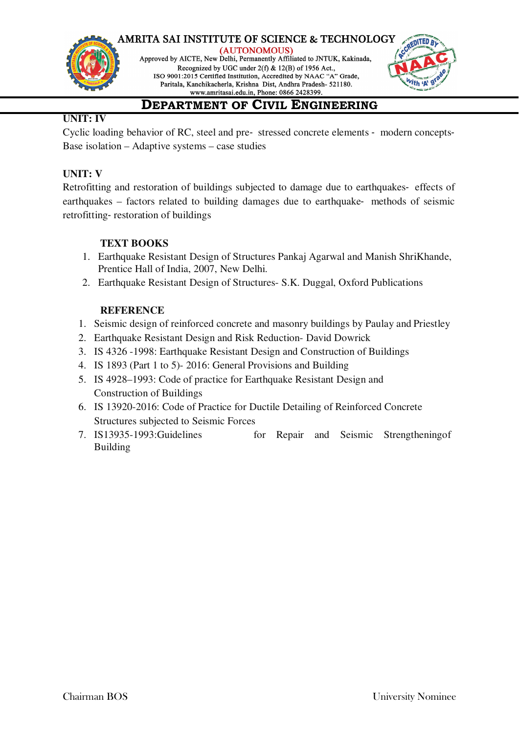

(AUTONOMOUS) Approved by AICTE, New Delhi, Permanently Affiliated to JNTUK, Kakinada, Recognized by UGC under 2(f) & 12(B) of 1956 Act., ISO 9001:2015 Certified Institution, Accredited by NAAC "A" Grade, Paritala, Kanchikacherla, Krishna Dist, Andhra Pradesh- 521180.



# **DEPARTMENT OF CIVIL ENGINEERING**

### **UNIT: IV**

Cyclic loading behavior of RC, steel and pre‐ stressed concrete elements ‐ modern concepts‐ Base isolation – Adaptive systems – case studies

### **UNIT: V**

Retrofitting and restoration of buildings subjected to damage due to earthquakes- effects of earthquakes – factors related to building damages due to earthquake- methods of seismic retrofitting‐ restoration of buildings

### **TEXT BOOKS**

- 1. Earthquake Resistant Design of Structures Pankaj Agarwal and Manish ShriKhande, Prentice Hall of India, 2007, New Delhi.
- 2. Earthquake Resistant Design of Structures- S.K. Duggal, Oxford Publications

### **REFERENCE**

- 1. Seismic design of reinforced concrete and masonry buildings by Paulay and Priestley
- 2. Earthquake Resistant Design and Risk Reduction- David Dowrick
- 3. IS 4326 -1998: Earthquake Resistant Design and Construction of Buildings
- 4. IS 1893 (Part 1 to 5)- 2016: General Provisions and Building
- 5. IS 4928–1993: Code of practice for Earthquake Resistant Design and Construction of Buildings
- 6. IS 13920-2016: Code of Practice for Ductile Detailing of Reinforced Concrete Structures subjected to Seismic Forces
- 7. IS13935-1993:Guidelines for Repair and Seismic Strengtheningof Building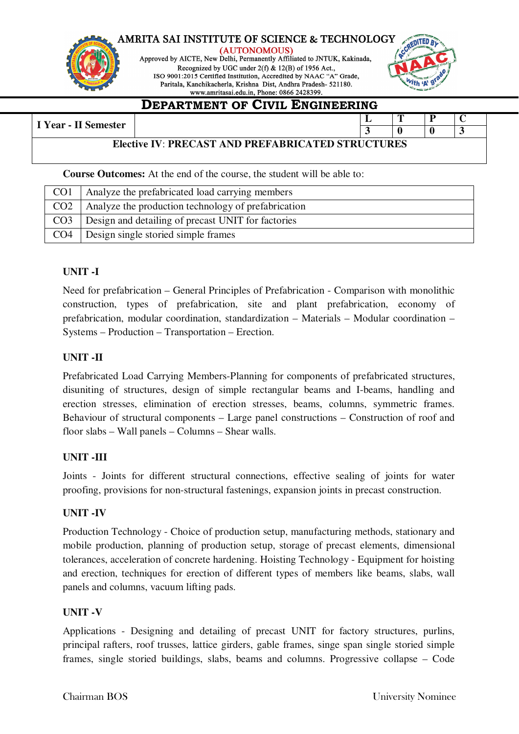

(AUTONOMOUS) Approved by AICTE, New Delhi, Permanently Affiliated to JNTUK, Kakinada, Recognized by UGC under 2(f) & 12(B) of 1956 Act., ISO 9001:2015 Certified Institution, Accredited by NAAC "A" Grade, Paritala, Kanchikacherla, Krishna Dist, Andhra Pradesh- 521180.



### **DEPARTMENT OF CIVIL ENGINEERING**

### **I** Year - II Semester **L T P C**

### **3 0 0 3 Elective IV**: **PRECAST AND PREFABRICATED STRUCTURES**

**Course Outcomes:** At the end of the course, the student will be able to:

| CO <sub>1</sub> | Analyze the prefabricated load carrying members     |
|-----------------|-----------------------------------------------------|
| CO <sub>2</sub> | Analyze the production technology of prefabrication |
| CO <sub>3</sub> | Design and detailing of precast UNIT for factories  |
| CO <sub>4</sub> | Design single storied simple frames                 |

### **UNIT -I**

Need for prefabrication – General Principles of Prefabrication - Comparison with monolithic construction, types of prefabrication, site and plant prefabrication, economy of prefabrication, modular coordination, standardization – Materials – Modular coordination – Systems – Production – Transportation – Erection.

### **UNIT -II**

Prefabricated Load Carrying Members-Planning for components of prefabricated structures, disuniting of structures, design of simple rectangular beams and I-beams, handling and erection stresses, elimination of erection stresses, beams, columns, symmetric frames. Behaviour of structural components – Large panel constructions – Construction of roof and floor slabs – Wall panels – Columns – Shear walls.

### **UNIT -III**

Joints - Joints for different structural connections, effective sealing of joints for water proofing, provisions for non-structural fastenings, expansion joints in precast construction.

### **UNIT -IV**

Production Technology - Choice of production setup, manufacturing methods, stationary and mobile production, planning of production setup, storage of precast elements, dimensional tolerances, acceleration of concrete hardening. Hoisting Technology - Equipment for hoisting and erection, techniques for erection of different types of members like beams, slabs, wall panels and columns, vacuum lifting pads.

### **UNIT -V**

Applications - Designing and detailing of precast UNIT for factory structures, purlins, principal rafters, roof trusses, lattice girders, gable frames, singe span single storied simple frames, single storied buildings, slabs, beams and columns. Progressive collapse – Code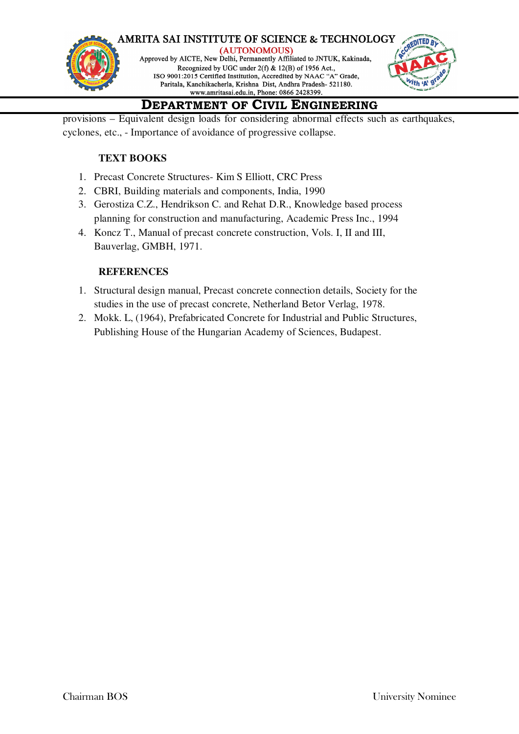

# **DEPARTMENT OF CIVIL ENGINEERING**

provisions – Equivalent design loads for considering abnormal effects such as earthquakes, cyclones, etc., - Importance of avoidance of progressive collapse.

### **TEXT BOOKS**

- 1. Precast Concrete Structures- Kim S Elliott, CRC Press
- 2. CBRI, Building materials and components, India, 1990
- 3. Gerostiza C.Z., Hendrikson C. and Rehat D.R., Knowledge based process planning for construction and manufacturing, Academic Press Inc., 1994
- 4. Koncz T., Manual of precast concrete construction, Vols. I, II and III, Bauverlag, GMBH, 1971.

### **REFERENCES**

- 1. Structural design manual, Precast concrete connection details, Society for the studies in the use of precast concrete, Netherland Betor Verlag, 1978.
- 2. Mokk. L, (1964), Prefabricated Concrete for Industrial and Public Structures, Publishing House of the Hungarian Academy of Sciences, Budapest.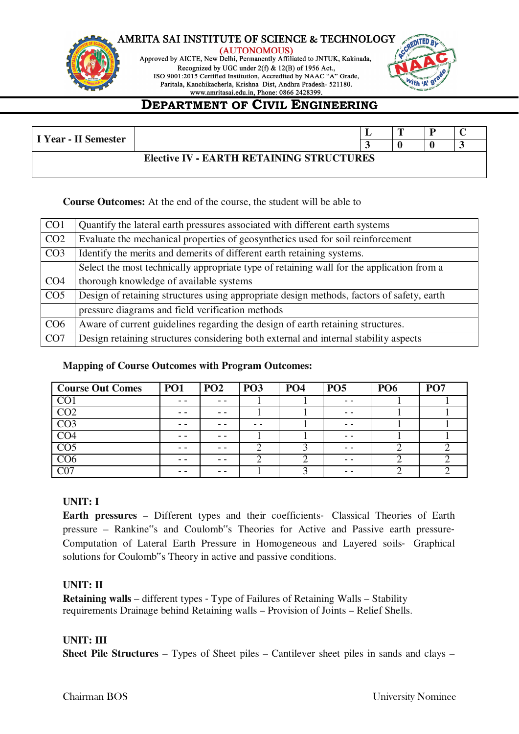





# **DEPARTMENT OF CIVIL ENGINEERING**

| I Year - II Semester                     |  |  |  |  |  |  |  |
|------------------------------------------|--|--|--|--|--|--|--|
| Elective IV - EARTH RETAINING STRUCTURES |  |  |  |  |  |  |  |

**Course Outcomes:** At the end of the course, the student will be able to

| CO <sub>1</sub> | Quantify the lateral earth pressures associated with different earth systems              |
|-----------------|-------------------------------------------------------------------------------------------|
| CO <sub>2</sub> | Evaluate the mechanical properties of geosynthetics used for soil reinforcement           |
| CO <sub>3</sub> | Identify the merits and demerits of different earth retaining systems.                    |
|                 | Select the most technically appropriate type of retaining wall for the application from a |
| CO <sub>4</sub> | thorough knowledge of available systems                                                   |
| CO <sub>5</sub> | Design of retaining structures using appropriate design methods, factors of safety, earth |
|                 | pressure diagrams and field verification methods                                          |
| CO <sub>6</sub> | Aware of current guidelines regarding the design of earth retaining structures.           |
| CO <sub>7</sub> | Design retaining structures considering both external and internal stability aspects      |

### **Mapping of Course Outcomes with Program Outcomes:**

| <b>Course Out Comes</b>  | <b>PO1</b> | <b>PO2</b> | PO <sub>3</sub> | <b>PO4</b> | <b>PO5</b> | <b>PO6</b> | PO <sub>7</sub> |
|--------------------------|------------|------------|-----------------|------------|------------|------------|-----------------|
| $\overline{\mathrm{CO}}$ | - -        | - -        |                 |            | - -        |            |                 |
| $\overline{CO2}$         | - -        | - -        |                 |            | - -        |            |                 |
| $\overline{CO3}$         | - -        |            |                 |            | - -        |            |                 |
| CO <sub>4</sub>          |            |            |                 |            | - -        |            |                 |
| CO <sub>5</sub>          | - -        | - -        |                 |            | - -        |            |                 |
| CO <sub>6</sub>          |            |            |                 |            | - -        |            |                 |
| C07                      | - -        | - -        |                 |            | - -        |            |                 |

### **UNIT: I**

**Earth pressures** – Different types and their coefficients‐ Classical Theories of Earth pressure – Rankine"s and Coulomb"s Theories for Active and Passive earth pressure‐ Computation of Lateral Earth Pressure in Homogeneous and Layered soils‐ Graphical solutions for Coulomb"s Theory in active and passive conditions.

### **UNIT: II**

**Retaining walls** – different types ‐ Type of Failures of Retaining Walls – Stability requirements Drainage behind Retaining walls – Provision of Joints – Relief Shells.

### **UNIT: III**

**Sheet Pile Structures** – Types of Sheet piles – Cantilever sheet piles in sands and clays –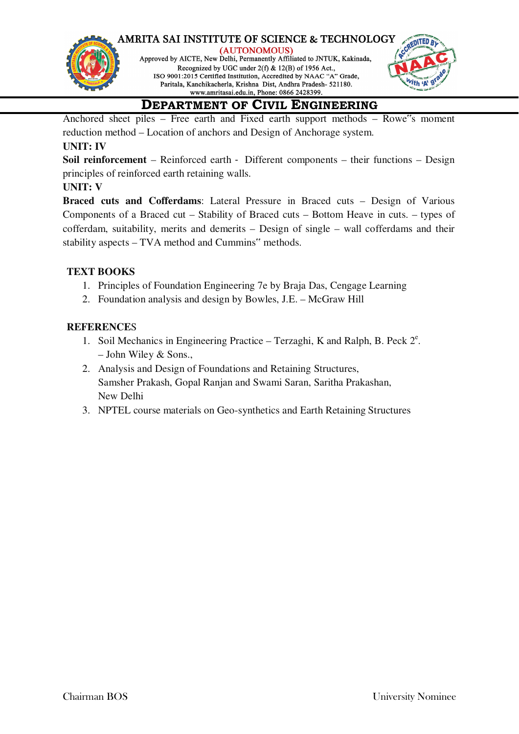



# **DEPARTMENT OF CIVIL ENGINEERING**

Anchored sheet piles – Free earth and Fixed earth support methods – Rowe"s moment reduction method – Location of anchors and Design of Anchorage system.

### **UNIT: IV**

**Soil reinforcement** – Reinforced earth ‐ Different components – their functions – Design principles of reinforced earth retaining walls.

### **UNIT: V**

**Braced cuts and Cofferdams**: Lateral Pressure in Braced cuts – Design of Various Components of a Braced cut – Stability of Braced cuts – Bottom Heave in cuts. – types of cofferdam, suitability, merits and demerits – Design of single – wall cofferdams and their stability aspects – TVA method and Cummins" methods.

### **TEXT BOOKS**

- 1. Principles of Foundation Engineering 7e by Braja Das, Cengage Learning
- 2. Foundation analysis and design by Bowles, J.E. McGraw Hill

### **REFERENCE**S

- 1. Soil Mechanics in Engineering Practice Terzaghi, K and Ralph, B. Peck  $2^e$ . – John Wiley & Sons.,
- 2. Analysis and Design of Foundations and Retaining Structures, Samsher Prakash, Gopal Ranjan and Swami Saran, Saritha Prakashan, New Delhi
- 3. NPTEL course materials on Geo-synthetics and Earth Retaining Structures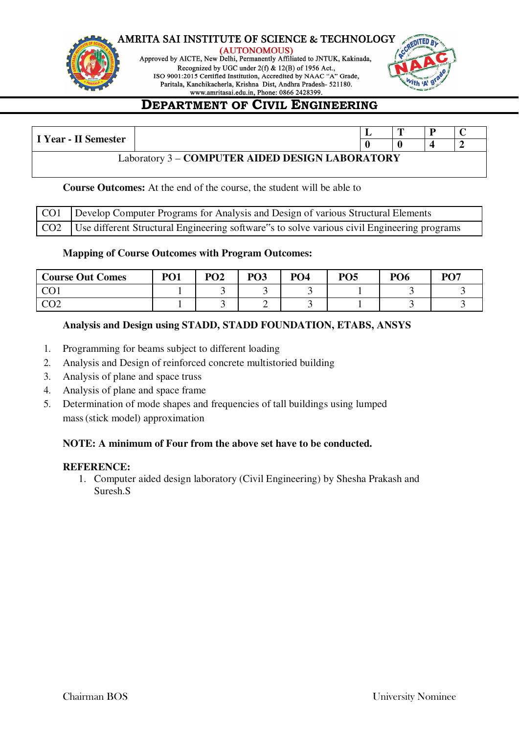

(AUTONOMOUS) Approved by AICTE, New Delhi, Permanently Affiliated to JNTUK, Kakinada, Recognized by UGC under 2(f) & 12(B) of 1956 Act., ISO 9001:2015 Certified Institution, Accredited by NAAC "A" Grade, Paritala, Kanchikacherla, Krishna Dist, Andhra Pradesh- 521180.



# **DEPARTMENT OF CIVIL ENGINEERING**

|                                                 |  |  | m |  |  |  |  |  |
|-------------------------------------------------|--|--|---|--|--|--|--|--|
| I Year - II Semester                            |  |  |   |  |  |  |  |  |
| Laboratory 3 - COMPUTER AIDED DESIGN LABORATORY |  |  |   |  |  |  |  |  |

### **Course Outcomes:** At the end of the course, the student will be able to

| CO1   Develop Computer Programs for Analysis and Design of various Structural Elements            |
|---------------------------------------------------------------------------------------------------|
| CO2   Use different Structural Engineering software"s to solve various civil Engineering programs |

### **Mapping of Course Outcomes with Program Outcomes:**

| <b>Course Out Comes</b> | PO <sub>1</sub> | PO <sub>2</sub> | PO <sub>3</sub> | PO <sub>4</sub> | <b>PO5</b> | PO <sub>6</sub> | PO <sub>7</sub> |
|-------------------------|-----------------|-----------------|-----------------|-----------------|------------|-----------------|-----------------|
| $\overline{C}$<br>UV 1  |                 |                 |                 |                 |            |                 |                 |
| നാ<br>◡◡▵               |                 |                 | ∽               |                 |            |                 |                 |

### **Analysis and Design using STADD, STADD FOUNDATION, ETABS, ANSYS**

- 1. Programming for beams subject to different loading
- 2. Analysis and Design of reinforced concrete multistoried building
- 3. Analysis of plane and space truss
- 4. Analysis of plane and space frame
- 5. Determination of mode shapes and frequencies of tall buildings using lumped mass (stick model) approximation

### **NOTE: A minimum of Four from the above set have to be conducted.**

### **REFERENCE:**

1. Computer aided design laboratory (Civil Engineering) by Shesha Prakash and Suresh.S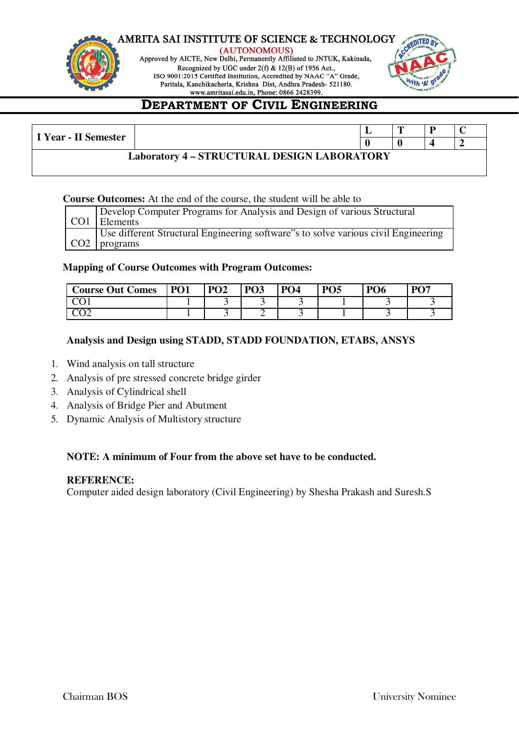

(AUTONOMOUS) Approved by AICTE, New Delhi, Permanently Affiliated to JNTUK, Kakinada, Recognized by UGC under 2(f) & 12(B) of 1956 Act., ISO 9001:2015 Certified Institution, Accredited by NAAC "A" Grade, Paritala, Kanchikacherla, Krishna Dist, Andhra Pradesh- 521180.



# **DEPARTMENT OF CIVIL ENGINEERING**

| I Year - II Semester                               |  |  |  |  |  |  |  |
|----------------------------------------------------|--|--|--|--|--|--|--|
|                                                    |  |  |  |  |  |  |  |
| <b>Laboratory 4 - STRUCTURAL DESIGN LABORATORY</b> |  |  |  |  |  |  |  |

### **Course Outcomes:** At the end of the course, the student will be able to

| Develop Computer Programs for Analysis and Design of various Structural            |
|------------------------------------------------------------------------------------|
| CO1 Elements                                                                       |
| Use different Structural Engineering software"s to solve various civil Engineering |
| $CO2$   programs                                                                   |

### **Mapping of Course Outcomes with Program Outcomes:**

| <b>Course Out Comes</b> | <b>PO1</b> | PO <sub>2</sub> | PO <sub>3</sub> | PO <sub>4</sub> | <b>PO5</b> | PO <sub>6</sub> | DA7 |
|-------------------------|------------|-----------------|-----------------|-----------------|------------|-----------------|-----|
|                         |            |                 |                 |                 |            |                 |     |
|                         |            |                 | -               |                 |            |                 |     |

### **Analysis and Design using STADD, STADD FOUNDATION, ETABS, ANSYS**

- 1. Wind analysis on tall structure
- 2. Analysis of pre stressed concrete bridge girder
- 3. Analysis of Cylindrical shell
- 4. Analysis of Bridge Pier and Abutment
- 5. Dynamic Analysis of Multistory structure

### **NOTE: A minimum of Four from the above set have to be conducted.**

### **REFERENCE:**

Computer aided design laboratory (Civil Engineering) by Shesha Prakash and Suresh.S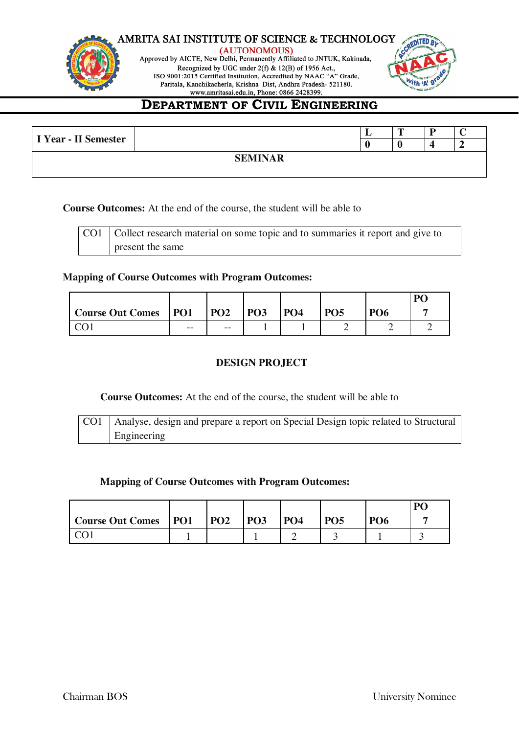



# **DEPARTMENT OF CIVIL ENGINEERING**

| I Year - II Semester |  |  | ≖ | m |  |  |  |  |
|----------------------|--|--|---|---|--|--|--|--|
|                      |  |  |   |   |  |  |  |  |
| <b>SEMINAR</b>       |  |  |   |   |  |  |  |  |
|                      |  |  |   |   |  |  |  |  |

**Course Outcomes:** At the end of the course, the student will be able to

| CO1   Collect research material on some topic and to summaries it report and give to |
|--------------------------------------------------------------------------------------|
| present the same                                                                     |

### **Mapping of Course Outcomes with Program Outcomes:**

|                             |       |            |            |            |                 |                 | <b>PC</b> |
|-----------------------------|-------|------------|------------|------------|-----------------|-----------------|-----------|
| <b>Course Out Comes</b> PO1 |       | <b>PO2</b> | <b>PO3</b> | <b>PO4</b> | PO <sub>5</sub> | PO <sub>6</sub> |           |
|                             | $- -$ | $- -$      |            |            |                 |                 |           |

### **DESIGN PROJECT**

**Course Outcomes:** At the end of the course, the student will be able to

| CO1   Analyse, design and prepare a report on Special Design topic related to Structural |
|------------------------------------------------------------------------------------------|
| Engineering                                                                              |

### **Mapping of Course Outcomes with Program Outcomes:**

|                         |                 |                 |                 |            |            |            | P <sub>C</sub> |
|-------------------------|-----------------|-----------------|-----------------|------------|------------|------------|----------------|
| <b>Course Out Comes</b> | P <sub>01</sub> | PO <sub>2</sub> | PO <sub>3</sub> | <b>PO4</b> | <b>PO5</b> | <b>PO6</b> |                |
|                         |                 |                 |                 |            |            |            |                |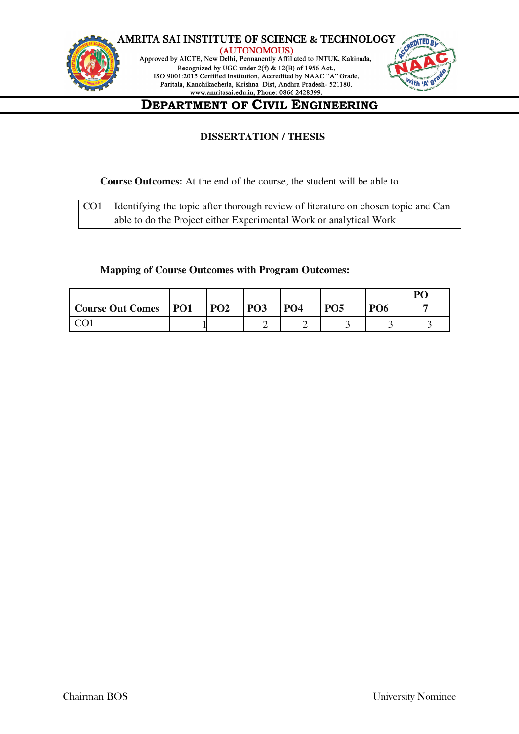

### **DISSERTATION / THESIS**

### **Course Outcomes:** At the end of the course, the student will be able to

| CO1   Identifying the topic after thorough review of literature on chosen topic and Can |
|-----------------------------------------------------------------------------------------|
| able to do the Project either Experimental Work or analytical Work                      |

### **Mapping of Course Outcomes with Program Outcomes:**

|                        |            |            |            |            |            | P <sub>O</sub> |
|------------------------|------------|------------|------------|------------|------------|----------------|
| Course Out Comes   PO1 | <b>PO2</b> | <b>PO3</b> | <b>PO4</b> | <b>PO5</b> | <b>PO6</b> |                |
|                        |            | ∸          |            |            |            |                |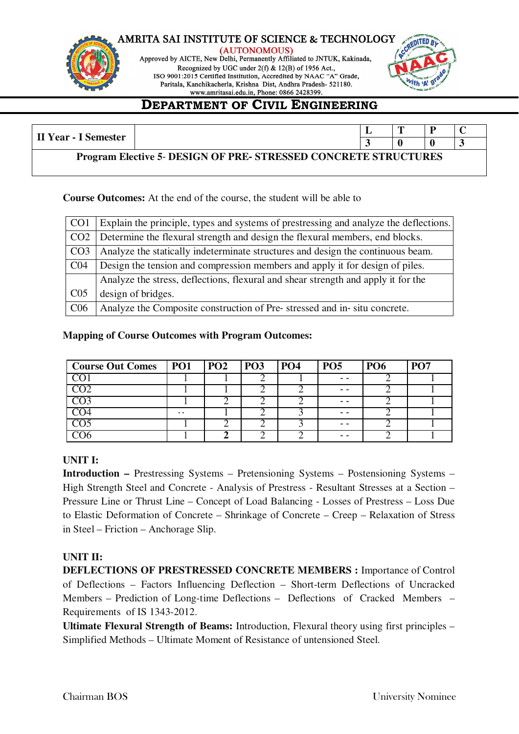

(AUTONOMOUS) Approved by AICTE, New Delhi, Permanently Affiliated to JNTUK, Kakinada, Recognized by UGC under 2(f) & 12(B) of 1956 Act., ISO 9001:2015 Certified Institution, Accredited by NAAC "A" Grade, Paritala, Kanchikacherla, Krishna Dist, Andhra Pradesh- 521180.



# **DEPARTMENT OF CIVIL ENGINEERING**

| II Year - I Semester                                                   |  |  | $\mathbf{r}$ |  |  |
|------------------------------------------------------------------------|--|--|--------------|--|--|
|                                                                        |  |  |              |  |  |
| <b>Program Elective 5- DESIGN OF PRE- STRESSED CONCRETE STRUCTURES</b> |  |  |              |  |  |

**Course Outcomes:** At the end of the course, the student will be able to

| CO <sub>1</sub> | Explain the principle, types and systems of prestressing and analyze the deflections. |
|-----------------|---------------------------------------------------------------------------------------|
| CO <sub>2</sub> | Determine the flexural strength and design the flexural members, end blocks.          |
| CO <sub>3</sub> | Analyze the statically indeterminate structures and design the continuous beam.       |
| CO <sub>4</sub> | Design the tension and compression members and apply it for design of piles.          |
|                 | Analyze the stress, deflections, flexural and shear strength and apply it for the     |
| CO <sub>5</sub> | design of bridges.                                                                    |
| C <sub>06</sub> | Analyze the Composite construction of Pre-stressed and in-situ concrete.              |

### **Mapping of Course Outcomes with Program Outcomes:**

| Course Out Comes   PO1 |     | $P_{O2}$ | <b>PO3</b> | P <sub>04</sub> | <b>PO5</b> | <b>PO6</b> | PO <sub>7</sub> |
|------------------------|-----|----------|------------|-----------------|------------|------------|-----------------|
|                        |     |          |            |                 | - -        |            |                 |
|                        |     |          |            |                 | - -        |            |                 |
|                        |     |          |            |                 | - -        |            |                 |
| $\overline{1}$         | - - |          |            |                 | - -        |            |                 |
|                        |     |          |            |                 | - -        |            |                 |
|                        |     |          |            |                 |            |            |                 |

### **UNIT I:**

**Introduction –** Prestressing Systems – Pretensioning Systems – Postensioning Systems – High Strength Steel and Concrete - Analysis of Prestress - Resultant Stresses at a Section – Pressure Line or Thrust Line – Concept of Load Balancing - Losses of Prestress – Loss Due to Elastic Deformation of Concrete – Shrinkage of Concrete – Creep – Relaxation of Stress in Steel – Friction – Anchorage Slip.

### **UNIT II:**

**DEFLECTIONS OF PRESTRESSED CONCRETE MEMBERS :** Importance of Control of Deflections – Factors Influencing Deflection – Short-term Deflections of Uncracked Members – Prediction of Long-time Deflections – Deflections of Cracked Members – Requirements of IS 1343-2012.

**Ultimate Flexural Strength of Beams:** Introduction, Flexural theory using first principles – Simplified Methods – Ultimate Moment of Resistance of untensioned Steel.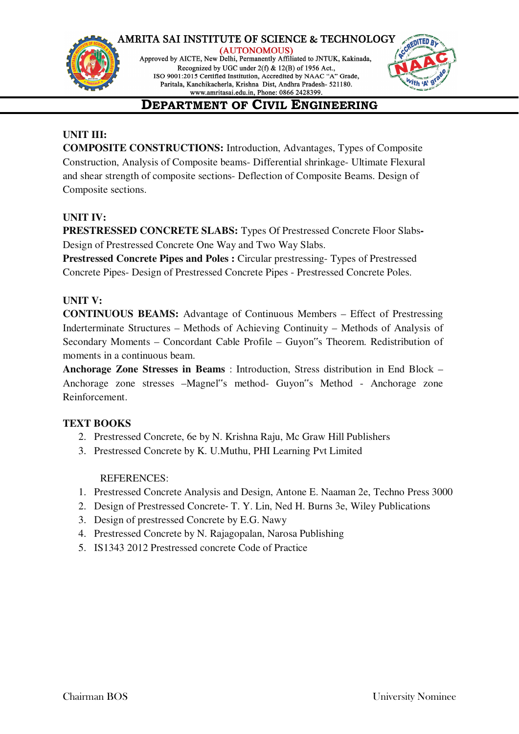

(AUTONOMOUS) Approved by AICTE, New Delhi, Permanently Affiliated to JNTUK, Kakinada, Recognized by UGC under 2(f) & 12(B) of 1956 Act., ISO 9001:2015 Certified Institution, Accredited by NAAC "A" Grade, Paritala, Kanchikacherla, Krishna Dist, Andhra Pradesh- 521180.



# **DEPARTMENT OF CIVIL ENGINEERING**

### **UNIT III:**

**COMPOSITE CONSTRUCTIONS:** Introduction, Advantages, Types of Composite Construction, Analysis of Composite beams- Differential shrinkage- Ultimate Flexural and shear strength of composite sections- Deflection of Composite Beams. Design of Composite sections.

### **UNIT IV:**

**PRESTRESSED CONCRETE SLABS:** Types Of Prestressed Concrete Floor Slabs**-**Design of Prestressed Concrete One Way and Two Way Slabs.

**Prestressed Concrete Pipes and Poles :** Circular prestressing- Types of Prestressed Concrete Pipes- Design of Prestressed Concrete Pipes - Prestressed Concrete Poles.

### **UNIT V:**

**CONTINUOUS BEAMS:** Advantage of Continuous Members – Effect of Prestressing Inderterminate Structures – Methods of Achieving Continuity – Methods of Analysis of Secondary Moments – Concordant Cable Profile – Guyon"s Theorem. Redistribution of moments in a continuous beam.

**Anchorage Zone Stresses in Beams** : Introduction, Stress distribution in End Block – Anchorage zone stresses –Magnel"s method- Guyon"s Method - Anchorage zone Reinforcement.

### **TEXT BOOKS**

- 2. Prestressed Concrete, 6e by N. Krishna Raju, Mc Graw Hill Publishers
- 3. Prestressed Concrete by K. U.Muthu, PHI Learning Pvt Limited

### REFERENCES:

- 1. Prestressed Concrete Analysis and Design, Antone E. Naaman 2e, Techno Press 3000
- 2. Design of Prestressed Concrete‐ T. Y. Lin, Ned H. Burns 3e, Wiley Publications
- 3. Design of prestressed Concrete by E.G. Nawy
- 4. Prestressed Concrete by N. Rajagopalan, Narosa Publishing
- 5. IS1343 2012 Prestressed concrete Code of Practice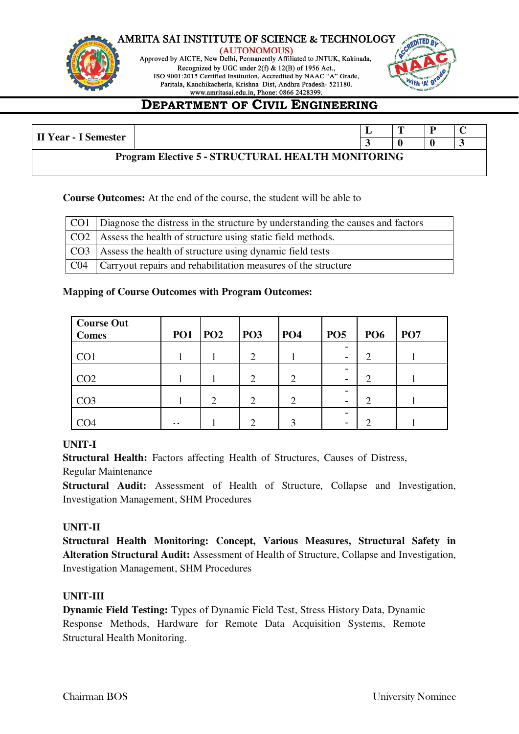





# **DEPARTMENT OF CIVIL ENGINEERING**

| <b>II Year - I Semester</b>                              |  |  |  |  |  |
|----------------------------------------------------------|--|--|--|--|--|
| <b>Program Elective 5 - STRUCTURAL HEALTH MONITORING</b> |  |  |  |  |  |

### **Course Outcomes:** At the end of the course, the student will be able to

| CO1 Diagnose the distress in the structure by understanding the causes and factors |
|------------------------------------------------------------------------------------|
| CO2   Assess the health of structure using static field methods.                   |
| CO3   Assess the health of structure using dynamic field tests                     |
| $CO4$ Carryout repairs and rehabilitation measures of the structure                |

### **Mapping of Course Outcomes with Program Outcomes:**

| <b>Course Out</b><br><b>Comes</b> | PO <sub>1</sub> | PO <sub>2</sub> | <b>PO3</b>     | PO <sub>4</sub> | PO <sub>5</sub>               | <b>PO6</b>    | PO <sub>7</sub> |
|-----------------------------------|-----------------|-----------------|----------------|-----------------|-------------------------------|---------------|-----------------|
| CO <sub>1</sub>                   |                 |                 | $\overline{2}$ |                 | -<br>-                        | $\mathcal{D}$ |                 |
| CO <sub>2</sub>                   |                 |                 | $\overline{2}$ | $\overline{2}$  |                               | ◠             |                 |
| CO <sub>3</sub>                   |                 | $\overline{2}$  | $\overline{2}$ | $\overline{2}$  | -<br>$\overline{\phantom{0}}$ | ◠             |                 |
| CO4                               | . .             |                 | ◠              | $\mathbf 3$     | -<br>-                        |               |                 |

### **UNIT-I**

**Structural Health:** Factors affecting Health of Structures, Causes of Distress,

Regular Maintenance

**Structural Audit:** Assessment of Health of Structure, Collapse and Investigation, Investigation Management, SHM Procedures

### **UNIT-II**

**Structural Health Monitoring: Concept, Various Measures, Structural Safety in Alteration Structural Audit:** Assessment of Health of Structure, Collapse and Investigation, Investigation Management, SHM Procedures

### **UNIT-III**

**Dynamic Field Testing:** Types of Dynamic Field Test, Stress History Data, Dynamic Response Methods, Hardware for Remote Data Acquisition Systems, Remote Structural Health Monitoring.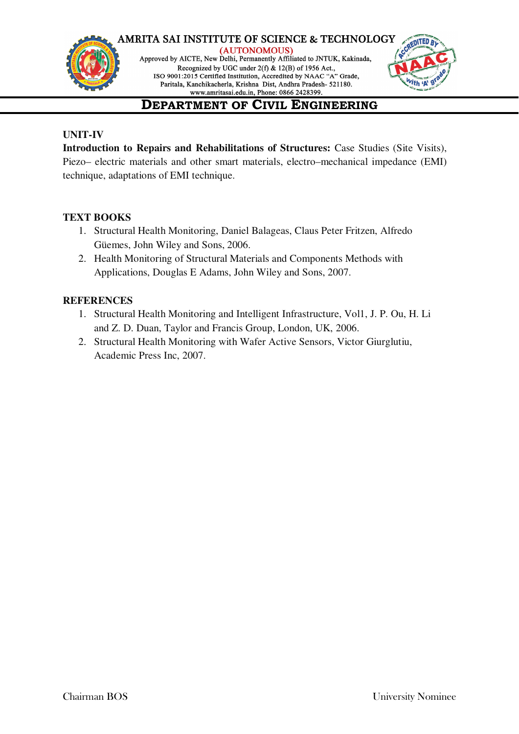#### **AMRITA SAI INSTITUTE OF SCIENCE & TECHNOLOGY** (AUTONOMOUS)



Approved by AICTE, New Delhi, Permanently Affiliated to JNTUK, Kakinada, Recognized by UGC under 2(f) & 12(B) of 1956 Act., ISO 9001:2015 Certified Institution, Accredited by NAAC "A" Grade, Paritala, Kanchikacherla, Krishna Dist, Andhra Pradesh- 521180.



# **DEPARTMENT OF CIVIL ENGINEERING**

### **UNIT-IV**

Introduction to Repairs and Rehabilitations of Structures: Case Studies (Site Visits), Piezo– electric materials and other smart materials, electro–mechanical impedance (EMI) technique, adaptations of EMI technique.

### **TEXT BOOKS**

- 1. Structural Health Monitoring, Daniel Balageas, Claus Peter Fritzen, Alfredo Güemes, John Wiley and Sons, 2006.
- 2. Health Monitoring of Structural Materials and Components Methods with Applications, Douglas E Adams, John Wiley and Sons, 2007.

### **REFERENCES**

- 1. Structural Health Monitoring and Intelligent Infrastructure, Vol1, J. P. Ou, H. Li and Z. D. Duan, Taylor and Francis Group, London, UK, 2006.
- 2. Structural Health Monitoring with Wafer Active Sensors, Victor Giurglutiu, Academic Press Inc, 2007.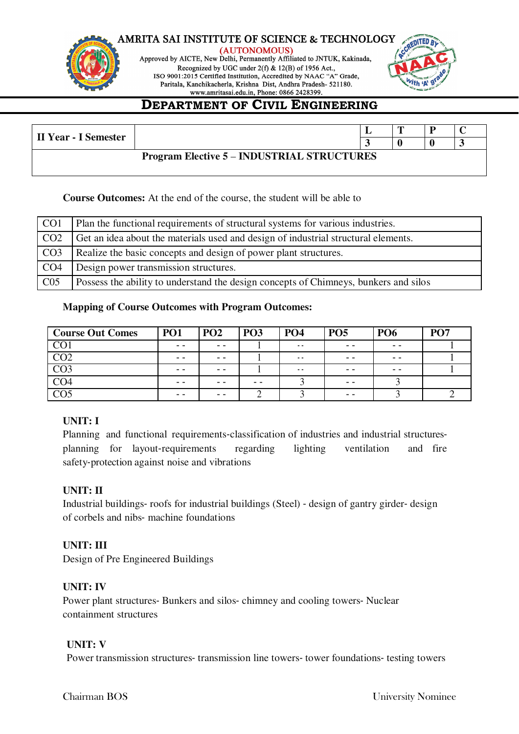

(AUTONOMOUS) Approved by AICTE, New Delhi, Permanently Affiliated to JNTUK, Kakinada, Recognized by UGC under 2(f) & 12(B) of 1956 Act., ISO 9001:2015 Certified Institution, Accredited by NAAC "A" Grade, Paritala, Kanchikacherla, Krishna Dist, Andhra Pradesh- 521180.



# **DEPARTMENT OF CIVIL ENGINEERING**

| <b>II Year - I Semester</b>                       |  |  |  |  |  |
|---------------------------------------------------|--|--|--|--|--|
| <b>Program Elective 5 – INDUSTRIAL STRUCTURES</b> |  |  |  |  |  |

### **Course Outcomes:** At the end of the course, the student will be able to

| CO <sub>1</sub> | Plan the functional requirements of structural systems for various industries.       |
|-----------------|--------------------------------------------------------------------------------------|
| CO <sub>2</sub> | Get an idea about the materials used and design of industrial structural elements.   |
| CO <sub>3</sub> | Realize the basic concepts and design of power plant structures.                     |
| CO <sub>4</sub> | Design power transmission structures.                                                |
| CO <sub>5</sub> | Possess the ability to understand the design concepts of Chimneys, bunkers and silos |

### **Mapping of Course Outcomes with Program Outcomes:**

| <b>Course Out Comes</b> | PO <sub>1</sub> | PO <sub>2</sub> | PO <sub>3</sub> | <b>PO4</b>    | <b>PO5</b> | <b>PO6</b> | <b>PO7</b> |
|-------------------------|-----------------|-----------------|-----------------|---------------|------------|------------|------------|
| $\overline{CO1}$        | - -             | $ -$            |                 | $\sim$ $\sim$ | $ -$       | - -        |            |
| CO <sub>2</sub>         | - -             | $ -$            |                 | $\sim$ $\sim$ | $ -$       | - -        |            |
| $\overline{CO3}$        | $ -$            | $ -$            |                 | $\sim$ $\sim$ | $ -$       | - -        |            |
| CO4                     | - -             | - -             | - -             |               | - -        |            |            |
| $\overline{C}O5$        | - -             | - -             |                 |               | - -        |            |            |

### **UNIT: I**

Planning and functional requirements‐classification of industries and industrial structures‐ planning for layout‐requirements regarding lighting ventilation and fire safety‐protection against noise and vibrations

### **UNIT: II**

Industrial buildings‐ roofs for industrial buildings (Steel) ‐ design of gantry girder‐ design of corbels and nibs‐ machine foundations

### **UNIT: III**

Design of Pre Engineered Buildings

### **UNIT: IV**

Power plant structures‐ Bunkers and silos‐ chimney and cooling towers‐ Nuclear containment structures

### **UNIT: V**

Power transmission structures‐ transmission line towers‐ tower foundations‐ testing towers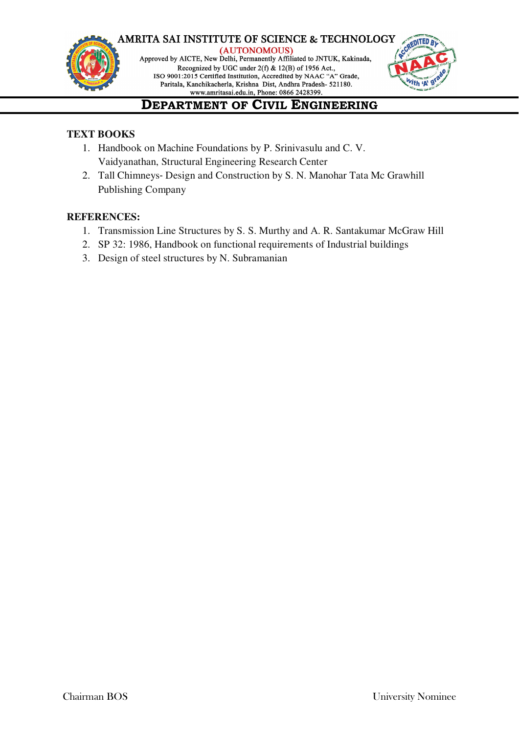



# **DEPARTMENT OF CIVIL ENGINEERING**

### **TEXT BOOKS**

- 1. Handbook on Machine Foundations by P. Srinivasulu and C. V. Vaidyanathan, Structural Engineering Research Center
- 2. Tall Chimneys‐ Design and Construction by S. N. Manohar Tata Mc Grawhill Publishing Company

### **REFERENCES:**

- 1. Transmission Line Structures by S. S. Murthy and A. R. Santakumar McGraw Hill
- 2. SP 32: 1986, Handbook on functional requirements of Industrial buildings
- 3. Design of steel structures by N. Subramanian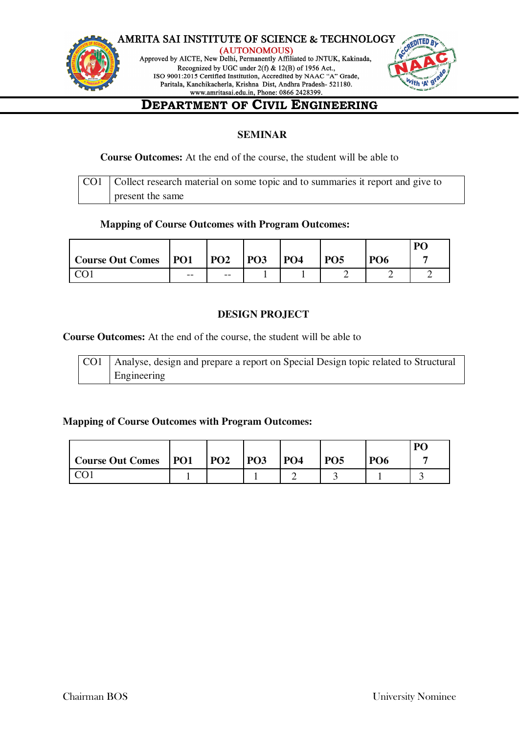



### **DEPARTMENT OF CIVIL ENGINEERING**

### **SEMINAR**

#### **Course Outcomes:** At the end of the course, the student will be able to

| CO1   Collect research material on some topic and to summaries it report and give to |
|--------------------------------------------------------------------------------------|
| present the same                                                                     |

### **Mapping of Course Outcomes with Program Outcomes:**

|                        |       |                 |            |                 |            |                 | P <sub>O</sub> |
|------------------------|-------|-----------------|------------|-----------------|------------|-----------------|----------------|
| Course Out Comes   PO1 |       | PO <sub>2</sub> | <b>PO3</b> | PO <sub>4</sub> | <b>PO5</b> | PO <sub>6</sub> |                |
|                        | $- -$ | $- -$           |            |                 |            |                 |                |

### **DESIGN PROJECT**

**Course Outcomes:** At the end of the course, the student will be able to

Analyse, design and prepare a report on Special Design topic related to Structural Engineering CO1

### **Mapping of Course Outcomes with Program Outcomes:**

|                               |            |            |            |            |                 | D1 |
|-------------------------------|------------|------------|------------|------------|-----------------|----|
| <b>Course Out Comes</b>   PO1 | <b>PO2</b> | <b>PO3</b> | <b>PO4</b> | <b>PO5</b> | PO <sub>6</sub> |    |
|                               |            |            |            |            |                 |    |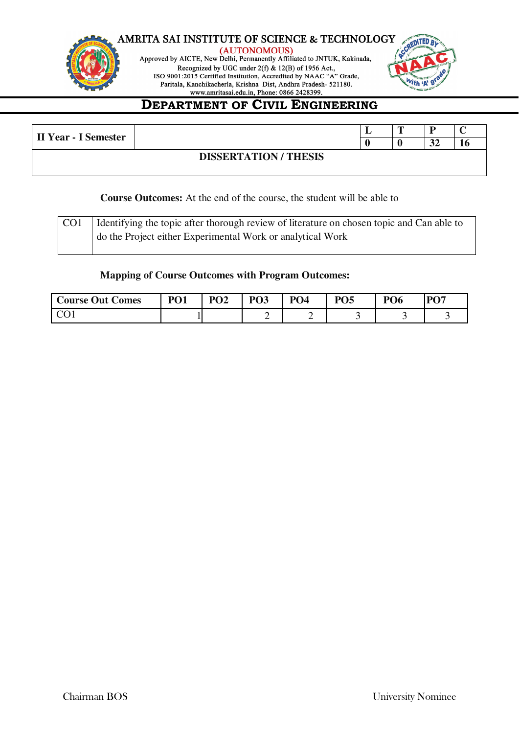





# **DEPARTMENT OF CIVIL ENGINEERING**

| II Year - I Semester       |  | m |                |    |  |  |  |  |
|----------------------------|--|---|----------------|----|--|--|--|--|
|                            |  |   | $\Delta$<br>JZ | 10 |  |  |  |  |
| <b>DISSERTATION/THESIS</b> |  |   |                |    |  |  |  |  |

### **Course Outcomes:** At the end of the course, the student will be able to

| CO <sub>1</sub> | I dentifying the topic after thorough review of literature on chosen topic and Can able to |
|-----------------|--------------------------------------------------------------------------------------------|
|                 | do the Project either Experimental Work or analytical Work                                 |

### **Mapping of Course Outcomes with Program Outcomes:**

| <b>Course Out Comes</b> | P <sub>01</sub> | PO <sub>2</sub> | PO <sub>3</sub> | <b>PO4</b> | $\mathbf{D}\mathbf{\Omega}\mathbf{S}$ | PO <sub>6</sub> | PO7 |
|-------------------------|-----------------|-----------------|-----------------|------------|---------------------------------------|-----------------|-----|
|                         |                 |                 |                 | ∽          |                                       |                 |     |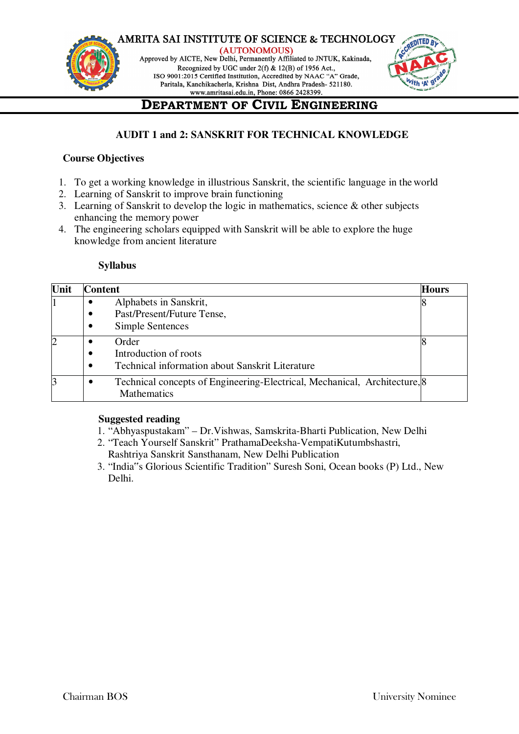#### **AMRITA SAI INSTITUTE OF SCIENCE & TECHNOLOGY** (AUTONOMOUS)



Approved by AICTE, New Delhi, Permanently Affiliated to JNTUK, Kakinada, Recognized by UGC under 2(f) & 12(B) of 1956 Act., ISO 9001:2015 Certified Institution, Accredited by NAAC "A" Grade, Paritala, Kanchikacherla, Krishna Dist, Andhra Pradesh- 521180.



# **DEPARTMENT OF CIVIL ENGINEERING**

### **AUDIT 1 and 2: SANSKRIT FOR TECHNICAL KNOWLEDGE**

### **Course Objectives**

- 1. To get a working knowledge in illustrious Sanskrit, the scientific language in the world
- 2. Learning of Sanskrit to improve brain functioning
- 3. Learning of Sanskrit to develop the logic in mathematics, science & other subjects enhancing the memory power
- 4. The engineering scholars equipped with Sanskrit will be able to explore the huge knowledge from ancient literature

### **Syllabus**

| Unit           | <b>Content</b>                                                                                  | <b>Hours</b> |
|----------------|-------------------------------------------------------------------------------------------------|--------------|
|                | Alphabets in Sanskrit,                                                                          |              |
|                | Past/Present/Future Tense,<br>$\bullet$                                                         |              |
|                | Simple Sentences                                                                                |              |
| $\overline{2}$ | Order                                                                                           |              |
|                | Introduction of roots                                                                           |              |
|                | <b>Technical information about Sanskrit Literature</b>                                          |              |
| 3              | Technical concepts of Engineering-Electrical, Mechanical, Architecture, 8<br><b>Mathematics</b> |              |

### **Suggested reading**

- 1. "Abhyaspustakam" Dr.Vishwas, Samskrita-Bharti Publication, New Delhi
- 2. "Teach Yourself Sanskrit" PrathamaDeeksha-VempatiKutumbshastri, Rashtriya Sanskrit Sansthanam, New Delhi Publication
- 3. "India"s Glorious Scientific Tradition" Suresh Soni, Ocean books (P) Ltd., New Delhi.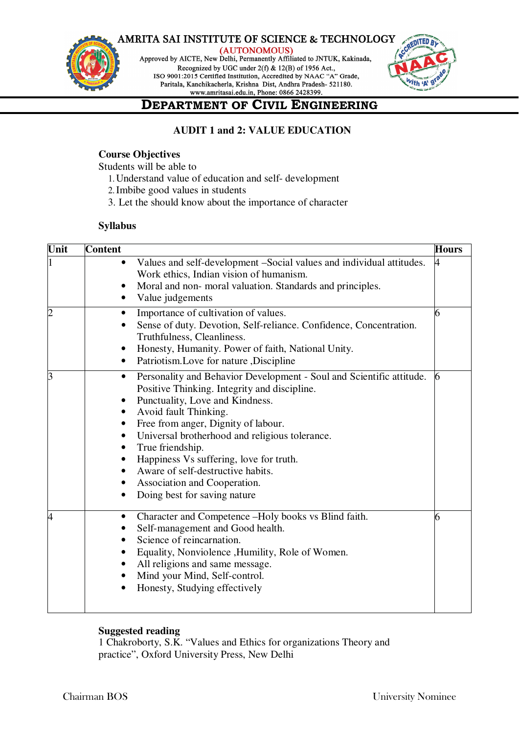



(AUTONOMOUS) Approved by AICTE, New Delhi, Permanently Affiliated to JNTUK, Kakinada,

Recognized by UGC under 2(f) & 12(B) of 1956 Act., ISO 9001:2015 Certified Institution, Accredited by NAAC "A" Grade, Paritala, Kanchikacherla, Krishna Dist, Andhra Pradesh- 521180.



# **DEPARTMENT OF CIVIL ENGINEERING**

### **AUDIT 1 and 2: VALUE EDUCATION**

### **Course Objectives**

Students will be able to

- 1.Understand value of education and self- development
- 2.Imbibe good values in students
- 3. Let the should know about the importance of character

#### **Syllabus**

| Unit           | <b>Content</b>                                                                                                                                                                                                                                                                                                                                                                                                                                                  | <b>Hours</b> |
|----------------|-----------------------------------------------------------------------------------------------------------------------------------------------------------------------------------------------------------------------------------------------------------------------------------------------------------------------------------------------------------------------------------------------------------------------------------------------------------------|--------------|
|                | Values and self-development -Social values and individual attitudes.<br>$\bullet$<br>Work ethics, Indian vision of humanism.<br>Moral and non- moral valuation. Standards and principles.<br>Value judgements                                                                                                                                                                                                                                                   |              |
|                | Importance of cultivation of values.<br>$\bullet$<br>Sense of duty. Devotion, Self-reliance. Confidence, Concentration.<br>Truthfulness, Cleanliness.<br>Honesty, Humanity. Power of faith, National Unity.<br>Patriotism.Love for nature ,Discipline                                                                                                                                                                                                           | 6            |
| 3              | Personality and Behavior Development - Soul and Scientific attitude.<br>٠<br>Positive Thinking. Integrity and discipline.<br>Punctuality, Love and Kindness.<br>Avoid fault Thinking.<br>Free from anger, Dignity of labour.<br>$\bullet$<br>Universal brotherhood and religious tolerance.<br>True friendship.<br>Happiness Vs suffering, love for truth.<br>Aware of self-destructive habits.<br>Association and Cooperation.<br>Doing best for saving nature |              |
| $\overline{4}$ | Character and Competence -Holy books vs Blind faith.<br>Self-management and Good health.<br>Science of reincarnation.<br>Equality, Nonviolence , Humility, Role of Women.<br>All religions and same message.<br>Mind your Mind, Self-control.<br>Honesty, Studying effectively                                                                                                                                                                                  | 6            |

### **Suggested reading**

1 Chakroborty, S.K. "Values and Ethics for organizations Theory and practice", Oxford University Press, New Delhi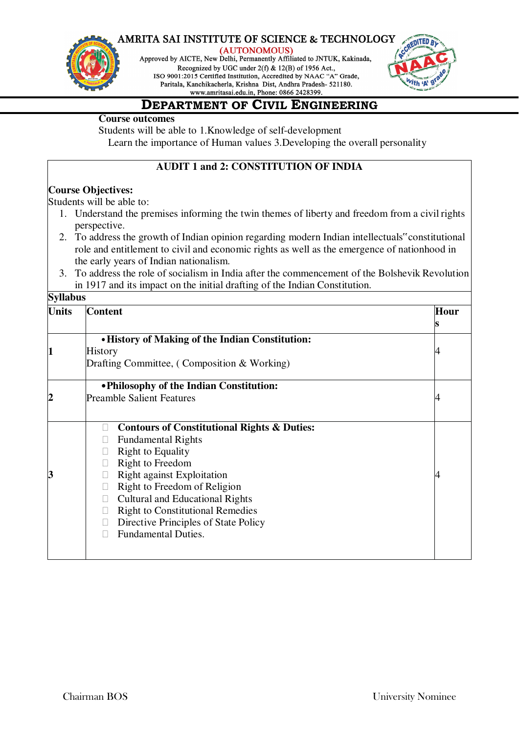

(AUTONOMOUS)

Approved by AICTE, New Delhi, Permanently Affiliated to JNTUK, Kakinada, Recognized by UGC under 2(f) & 12(B) of 1956 Act., ISO 9001:2015 Certified Institution, Accredited by NAAC "A" Grade, Paritala, Kanchikacherla, Krishna Dist, Andhra Pradesh- 521180.



### **DEPARTMENT OF CIVIL ENGINEERING**

### **Course outcomes**

Students will be able to 1.Knowledge of self-development Learn the importance of Human values 3.Developing the overall personality

### **AUDIT 1 and 2: CONSTITUTION OF INDIA**

### **Course Objectives:**

Students will be able to:

- 1. Understand the premises informing the twin themes of liberty and freedom from a civil rights perspective.
- 2. To address the growth of Indian opinion regarding modern Indian intellectuals" constitutional role and entitlement to civil and economic rights as well as the emergence of nationhood in the early years of Indian nationalism.
- 3. To address the role of socialism in India after the commencement of the Bolshevik Revolution in 1917 and its impact on the initial drafting of the Indian Constitution.

| <b>Units</b> | <b>Content</b>                                              | Hour |
|--------------|-------------------------------------------------------------|------|
|              |                                                             |      |
|              | . History of Making of the Indian Constitution:             |      |
|              | <b>History</b>                                              |      |
|              | Drafting Committee, (Composition & Working)                 |      |
|              | • Philosophy of the Indian Constitution:                    |      |
|              | <b>Preamble Salient Features</b>                            |      |
|              | <b>Contours of Constitutional Rights &amp; Duties:</b><br>П |      |
|              | <b>Fundamental Rights</b>                                   |      |
|              | <b>Right to Equality</b>                                    |      |
|              | Right to Freedom                                            |      |
|              | <b>Right against Exploitation</b>                           |      |
|              | Right to Freedom of Religion                                |      |
|              | <b>Cultural and Educational Rights</b><br>$\Box$            |      |
|              | <b>Right to Constitutional Remedies</b>                     |      |
|              | Directive Principles of State Policy                        |      |
|              | <b>Fundamental Duties.</b><br>Ш                             |      |
|              |                                                             |      |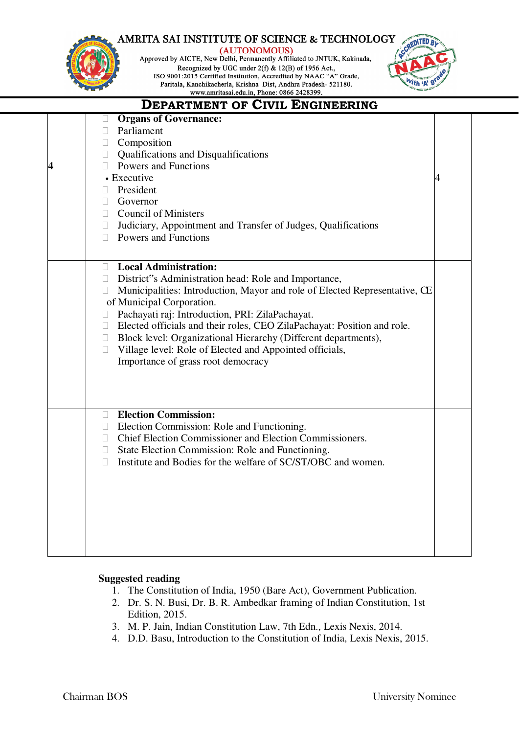

(AUTONOMOUS)

Approved by AICTE, New Delhi, Permanently Affiliated to JNTUK, Kakinada, Recognized by UGC under 2(f) & 12(B) of 1956 Act., ISO 9001:2015 Certified Institution, Accredited by NAAC "A" Grade, Paritala, Kanchikacherla, Krishna Dist, Andhra Pradesh- 521180.



### **DEPARTMENT OF CIVIL ENGINEERING**

|  | <b>Organs of Governance:</b><br>u                                                    |  |
|--|--------------------------------------------------------------------------------------|--|
|  | <b>Parliament</b>                                                                    |  |
|  | $\Box$ Composition                                                                   |  |
|  | $\Box$ Qualifications and Disqualifications                                          |  |
|  | $\Box$ Powers and Functions                                                          |  |
|  | • Executive                                                                          |  |
|  | President<br>П.                                                                      |  |
|  | $\Box$ Governor                                                                      |  |
|  | $\Box$ Council of Ministers                                                          |  |
|  | $\Box$ Judiciary, Appointment and Transfer of Judges, Qualifications                 |  |
|  | $\Box$ Powers and Functions                                                          |  |
|  |                                                                                      |  |
|  | <b>Local Administration:</b>                                                         |  |
|  | □ District"s Administration head: Role and Importance,                               |  |
|  | Municipalities: Introduction, Mayor and role of Elected Representative, CE<br>$\Box$ |  |
|  | of Municipal Corporation.                                                            |  |
|  | Pachayati raj: Introduction, PRI: ZilaPachayat.<br>П.                                |  |
|  | □ Elected officials and their roles, CEO ZilaPachayat: Position and role.            |  |
|  | □ Block level: Organizational Hierarchy (Different departments),                     |  |
|  | Village level: Role of Elected and Appointed officials,<br>П.                        |  |
|  | Importance of grass root democracy                                                   |  |
|  |                                                                                      |  |
|  |                                                                                      |  |
|  |                                                                                      |  |
|  | <b>Election Commission:</b><br>П.                                                    |  |
|  | Election Commission: Role and Functioning.<br>U.                                     |  |
|  | Chief Election Commissioner and Election Commissioners.<br>$\Box$                    |  |
|  | State Election Commission: Role and Functioning.<br>$\Box$                           |  |
|  | Institute and Bodies for the welfare of SC/ST/OBC and women.<br>П.                   |  |
|  |                                                                                      |  |
|  |                                                                                      |  |
|  |                                                                                      |  |
|  |                                                                                      |  |
|  |                                                                                      |  |
|  |                                                                                      |  |
|  |                                                                                      |  |
|  |                                                                                      |  |

### **Suggested reading**

- 1. The Constitution of India, 1950 (Bare Act), Government Publication.
- 2. Dr. S. N. Busi, Dr. B. R. Ambedkar framing of Indian Constitution, 1st Edition, 2015.
- 3. M. P. Jain, Indian Constitution Law, 7th Edn., Lexis Nexis, 2014.
- 4. D.D. Basu, Introduction to the Constitution of India, Lexis Nexis, 2015.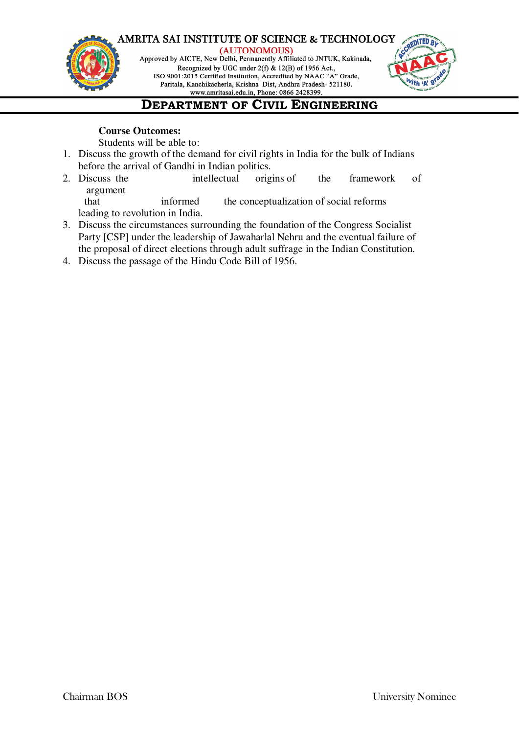#### **AMRITA SAI INSTITUTE OF SCIENCE & TECHNOLOGY** (AUTONOMOUS)



Approved by AICTE, New Delhi, Permanently Affiliated to JNTUK, Kakinada, Recognized by UGC under 2(f) & 12(B) of 1956 Act., ISO 9001:2015 Certified Institution, Accredited by NAAC "A" Grade, Paritala, Kanchikacherla, Krishna Dist, Andhra Pradesh- 521180.



# **DEPARTMENT OF CIVIL ENGINEERING**

### **Course Outcomes:**

Students will be able to:

- 1. Discuss the growth of the demand for civil rights in India for the bulk of Indians before the arrival of Gandhi in Indian politics.
- 2. Discuss the intellectual origins of the framework of argument

that informed the conceptualization of social reforms leading to revolution in India.

- 3. Discuss the circumstances surrounding the foundation of the Congress Socialist Party [CSP] under the leadership of Jawaharlal Nehru and the eventual failure of the proposal of direct elections through adult suffrage in the Indian Constitution.
- 4. Discuss the passage of the Hindu Code Bill of 1956.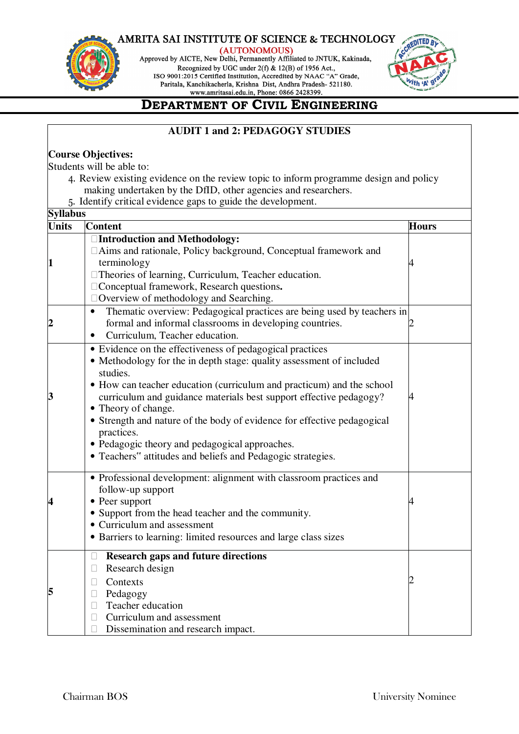

(AUTONOMOUS)

Approved by AICTE, New Delhi, Permanently Affiliated to JNTUK, Kakinada, Recognized by UGC under  $2(f)$  & 12(B) of 1956 Act., ISO 9001:2015 Certified Institution, Accredited by NAAC "A" Grade, Paritala, Kanchikacherla, Krishna Dist, Andhra Pradesh- 521180.



# **DEPARTMENT OF CIVIL ENGINEERING**

### **AUDIT 1 and 2: PEDAGOGY STUDIES**

### **Course Objectives:**

Students will be able to:

- 4. Review existing evidence on the review topic to inform programme design and policy making undertaken by the DfID, other agencies and researchers.
- 5. Identify critical evidence gaps to guide the development.

| <b>Syllabus</b> |                                                                                                                                                                                                                                                                                                                                                                                                                                                                                                                                                                |              |
|-----------------|----------------------------------------------------------------------------------------------------------------------------------------------------------------------------------------------------------------------------------------------------------------------------------------------------------------------------------------------------------------------------------------------------------------------------------------------------------------------------------------------------------------------------------------------------------------|--------------|
| <b>Units</b>    | <b>Content</b>                                                                                                                                                                                                                                                                                                                                                                                                                                                                                                                                                 | <b>Hours</b> |
|                 | □Introduction and Methodology:<br>□Aims and rationale, Policy background, Conceptual framework and<br>terminology<br>□ Theories of learning, Curriculum, Teacher education.<br>□ Conceptual framework, Research questions.<br>$\Box$ Overview of methodology and Searching.<br>Thematic overview: Pedagogical practices are being used by teachers in<br>$\bullet$<br>formal and informal classrooms in developing countries.                                                                                                                                  |              |
|                 | Curriculum, Teacher education.<br>• Evidence on the effectiveness of pedagogical practices<br>• Methodology for the in depth stage: quality assessment of included<br>studies.<br>• How can teacher education (curriculum and practicum) and the school<br>curriculum and guidance materials best support effective pedagogy?<br>• Theory of change.<br>• Strength and nature of the body of evidence for effective pedagogical<br>practices.<br>· Pedagogic theory and pedagogical approaches.<br>• Teachers" attitudes and beliefs and Pedagogic strategies. |              |
|                 | • Professional development: alignment with classroom practices and<br>follow-up support<br>• Peer support<br>• Support from the head teacher and the community.<br>• Curriculum and assessment<br>• Barriers to learning: limited resources and large class sizes                                                                                                                                                                                                                                                                                              |              |
| 5               | <b>Research gaps and future directions</b><br>$\Box$<br>Research design<br>$\Box$<br>Contexts<br>П<br>Pedagogy<br>$\Box$<br>Teacher education<br>П<br>Curriculum and assessment<br>Dissemination and research impact.<br>П                                                                                                                                                                                                                                                                                                                                     |              |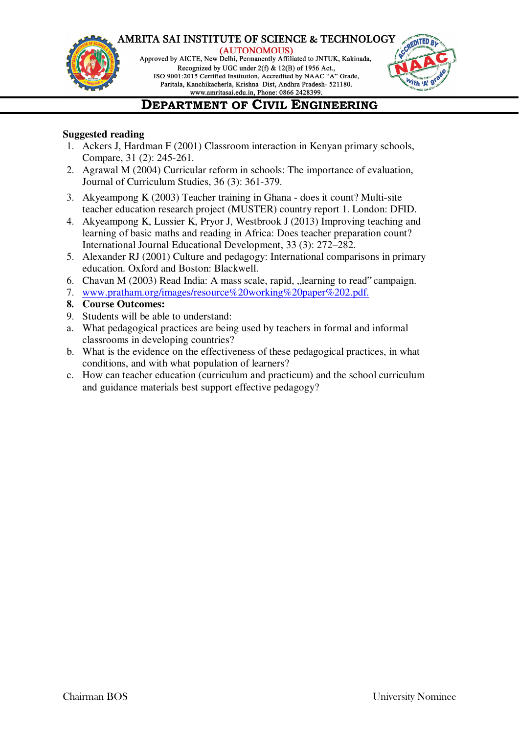

(AUTONOMOUS) Approved by AICTE, New Delhi, Permanently Affiliated to JNTUK, Kakinada, Recognized by UGC under 2(f) & 12(B) of 1956 Act., ISO 9001:2015 Certified Institution, Accredited by NAAC "A" Grade, Paritala, Kanchikacherla, Krishna Dist, Andhra Pradesh- 521180.



# **DEPARTMENT OF CIVIL ENGINEERING**

### **Suggested reading**

- 1. Ackers J, Hardman F (2001) Classroom interaction in Kenyan primary schools, Compare, 31 (2): 245-261.
- 2. Agrawal M (2004) Curricular reform in schools: The importance of evaluation, Journal of Curriculum Studies, 36 (3): 361-379.
- 3. Akyeampong K (2003) Teacher training in Ghana does it count? Multi-site teacher education research project (MUSTER) country report 1. London: DFID.
- 4. Akyeampong K, Lussier K, Pryor J, Westbrook J (2013) Improving teaching and learning of basic maths and reading in Africa: Does teacher preparation count? International Journal Educational Development, 33 (3): 272–282.
- 5. Alexander RJ (2001) Culture and pedagogy: International comparisons in primary education. Oxford and Boston: Blackwell.
- 6. Chavan M (2003) Read India: A mass scale, rapid, "learning to read" campaign.
- 7. www.pratham.org/images/resource%20working%20paper%202.pdf.
- **8. Course Outcomes:**
- 9. Students will be able to understand:
- a. What pedagogical practices are being used by teachers in formal and informal classrooms in developing countries?
- b. What is the evidence on the effectiveness of these pedagogical practices, in what conditions, and with what population of learners?
- c. How can teacher education (curriculum and practicum) and the school curriculum and guidance materials best support effective pedagogy?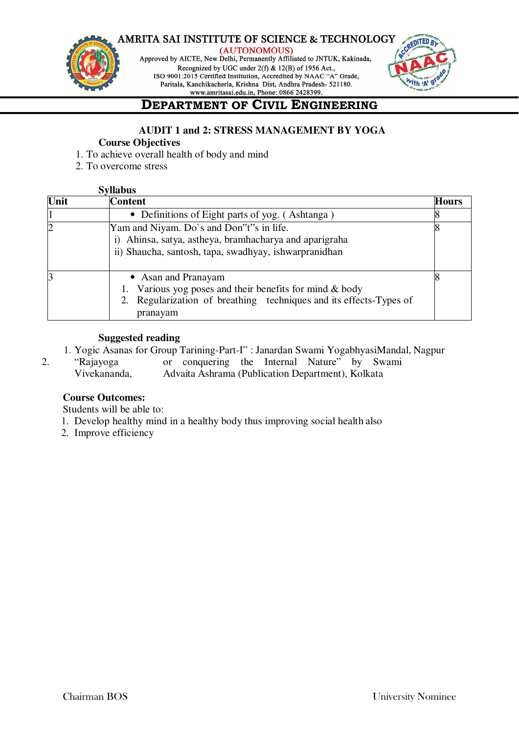





# **DEPARTMENT OF CIVIL ENGINEERING**

#### **AUDIT 1 and 2: STRESS MANAGEMENT BY YOGA Course Objectives**

- 1. To achieve overall health of body and mind
- 2. To overcome stress

| <b>Syllabus</b> |                                                                                                                                                                    |              |
|-----------------|--------------------------------------------------------------------------------------------------------------------------------------------------------------------|--------------|
| Unit            | <b>Content</b>                                                                                                                                                     | <b>Hours</b> |
| $\vert$ 1       | • Definitions of Eight parts of yog. (Ashtanga)                                                                                                                    |              |
| $\overline{2}$  | Yam and Niyam. Do's and Don"t"s in life.<br>Ahinsa, satya, astheya, bramhacharya and aparigraha<br>ii) Shaucha, santosh, tapa, swadhyay, ishwarpranidhan           | 8            |
| 3               | • Asan and Pranayam<br>1. Various yog poses and their benefits for mind $&$ body<br>2. Regularization of breathing techniques and its effects-Types of<br>pranayam |              |

### **Suggested reading**

- 1. Yogic Asanas for Group Tarining-Part-I" : Janardan Swami YogabhyasiMandal, Nagpur
- 2. "Rajayoga or conquering the Internal Nature" by Swami Vivekananda, Advaita Ashrama (Publication Department), Kolkata

### **Course Outcomes:**

Students will be able to:

- 1. Develop healthy mind in a healthy body thus improving social health also
- 2. Improve efficiency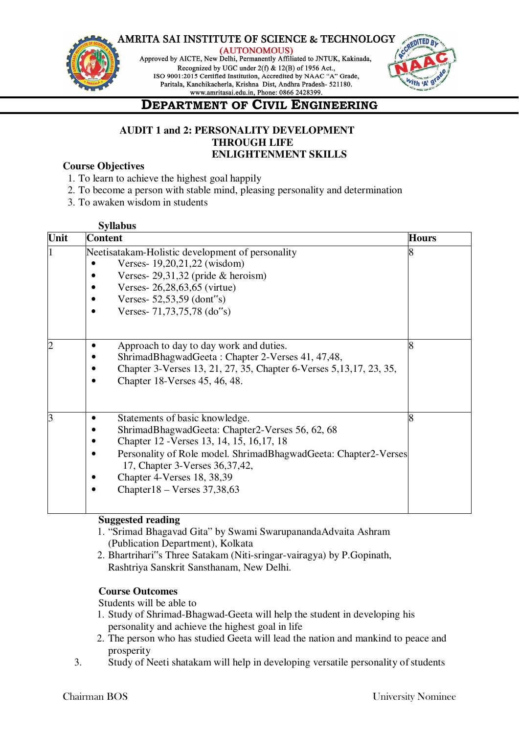

(AUTONOMOUS) Approved by AICTE, New Delhi, Permanently Affiliated to JNTUK, Kakinada, Recognized by UGC under 2(f) & 12(B) of 1956 Act., ISO 9001:2015 Certified Institution, Accredited by NAAC "A" Grade, Paritala, Kanchikacherla, Krishna Dist, Andhra Pradesh- 521180.



# **DEPARTMENT OF CIVIL ENGINEERING**

### **AUDIT 1 and 2: PERSONALITY DEVELOPMENT THROUGH LIFE ENLIGHTENMENT SKILLS**

### **Course Objectives**

- 1. To learn to achieve the highest goal happily
- 2. To become a person with stable mind, pleasing personality and determination
- 3. To awaken wisdom in students

| <b>Syllabus</b> |                                                                                                                                                                                                                                                                                                                                       |              |
|-----------------|---------------------------------------------------------------------------------------------------------------------------------------------------------------------------------------------------------------------------------------------------------------------------------------------------------------------------------------|--------------|
| Unit            | <b>Content</b>                                                                                                                                                                                                                                                                                                                        | <b>Hours</b> |
|                 | Neetisatakam-Holistic development of personality<br>Verses- 19,20,21,22 (wisdom)<br>Verses- $29,31,32$ (pride & heroism)<br>Verses-26,28,63,65 (virtue)<br>Verses- $52,53,59$ (dont"s)<br>Verses- $71,73,75,78$ (do"s)<br>$\bullet$                                                                                                   |              |
|                 | Approach to day to day work and duties.<br>٠<br>ShrimadBhagwadGeeta: Chapter 2-Verses 41, 47,48,<br>Chapter 3-Verses 13, 21, 27, 35, Chapter 6-Verses 5, 13, 17, 23, 35,<br>$\bullet$<br>Chapter 18-Verses 45, 46, 48.<br>$\bullet$                                                                                                   |              |
|                 | Statements of basic knowledge.<br>٠<br>ShrimadBhagwadGeeta: Chapter2-Verses 56, 62, 68<br>Chapter 12 - Verses 13, 14, 15, 16, 17, 18<br>Personality of Role model. ShrimadBhagwadGeeta: Chapter2-Verses<br>$\bullet$<br>17, Chapter 3-Verses 36, 37, 42,<br>Chapter 4-Verses 18, 38,39<br>Chapter $18 -$ Verses 37,38,63<br>$\bullet$ |              |

### **Suggested reading**

- 1. "Srimad Bhagavad Gita" by Swami SwarupanandaAdvaita Ashram (Publication Department), Kolkata
- 2. Bhartrihari"s Three Satakam (Niti-sringar-vairagya) by P.Gopinath, Rashtriya Sanskrit Sansthanam, New Delhi.

### **Course Outcomes**

Students will be able to

- 1. Study of Shrimad-Bhagwad-Geeta will help the student in developing his personality and achieve the highest goal in life
- 2. The person who has studied Geeta will lead the nation and mankind to peace and prosperity
- 3. Study of Neeti shatakam will help in developing versatile personality of students